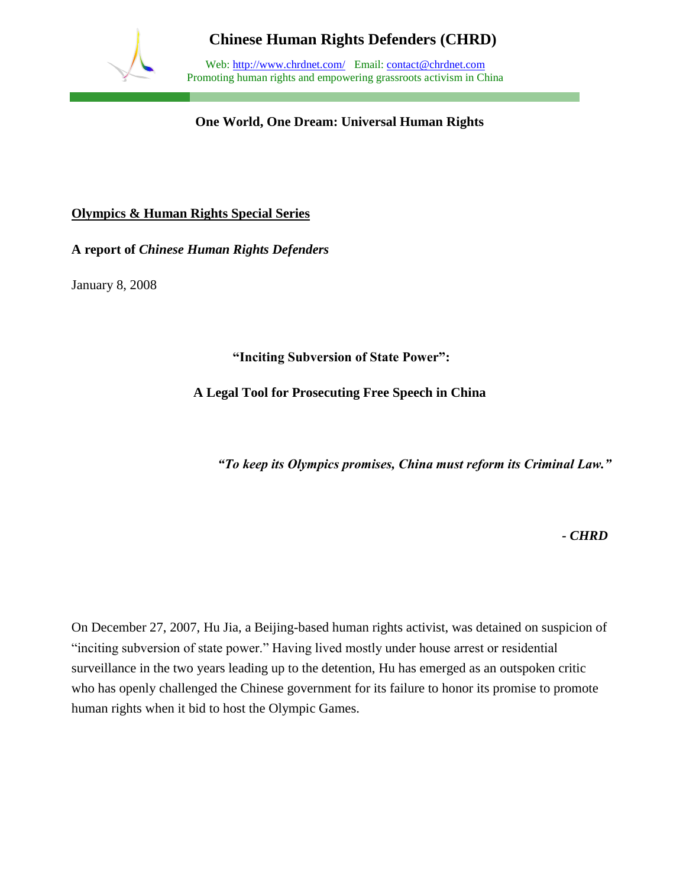

Web: http://www.chrdnet.com/ Email: contact@chrdnet.com Promoting human rights and empowering grassroots activism in China

**One World, One Dream: Universal Human Rights**

#### **Olympics & Human Rights Special Series**

**A report of** *Chinese Human Rights Defenders*

January 8, 2008

**"Inciting Subversion of State Power":** 

**A Legal Tool for Prosecuting Free Speech in China**

*"To keep its Olympics promises, China must reform its Criminal Law."*

*- CHRD*

On December 27, 2007, Hu Jia, a Beijing-based human rights activist, was detained on suspicion of "inciting subversion of state power." Having lived mostly under house arrest or residential surveillance in the two years leading up to the detention, Hu has emerged as an outspoken critic who has openly challenged the Chinese government for its failure to honor its promise to promote human rights when it bid to host the Olympic Games.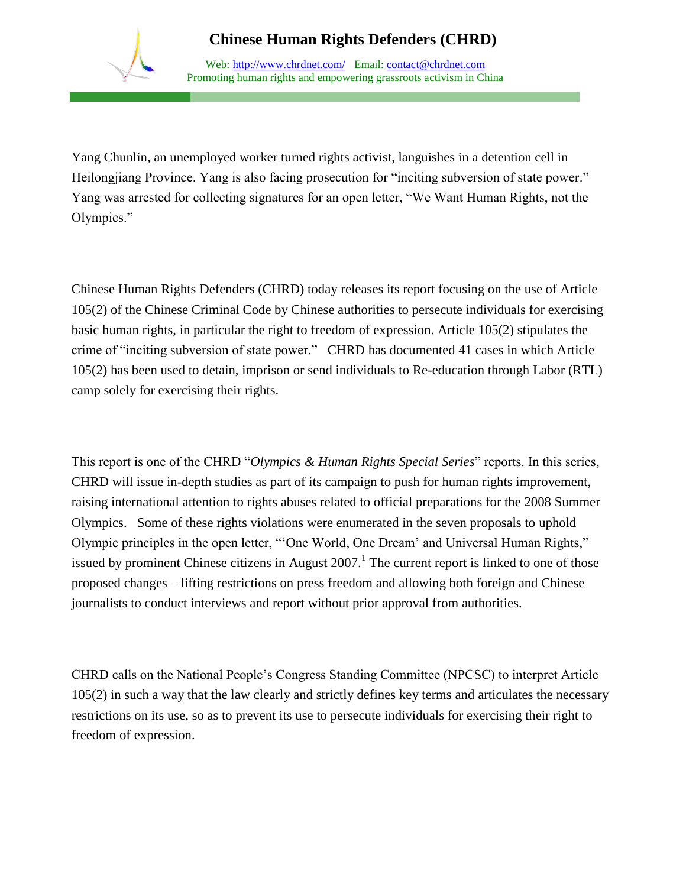

Web: http://www.chrdnet.com/ Email: contact@chrdnet.com Promoting human rights and empowering grassroots activism in China

Yang Chunlin, an unemployed worker turned rights activist, languishes in a detention cell in Heilongjiang Province. Yang is also facing prosecution for "inciting subversion of state power." Yang was arrested for collecting signatures for an open letter, "We Want Human Rights, not the Olympics."

Chinese Human Rights Defenders (CHRD) today releases its report focusing on the use of Article 105(2) of the Chinese Criminal Code by Chinese authorities to persecute individuals for exercising basic human rights, in particular the right to freedom of expression. Article 105(2) stipulates the crime of "inciting subversion of state power." CHRD has documented 41 cases in which Article 105(2) has been used to detain, imprison or send individuals to Re-education through Labor (RTL) camp solely for exercising their rights.

This report is one of the CHRD "*Olympics & Human Rights Special Series*" reports. In this series, CHRD will issue in-depth studies as part of its campaign to push for human rights improvement, raising international attention to rights abuses related to official preparations for the 2008 Summer Olympics. Some of these rights violations were enumerated in the seven proposals to uphold Olympic principles in the open letter, "'One World, One Dream' and Universal Human Rights," issued by prominent Chinese citizens in August  $2007$ .<sup>1</sup> The current report is linked to one of those proposed changes – lifting restrictions on press freedom and allowing both foreign and Chinese journalists to conduct interviews and report without prior approval from authorities.

CHRD calls on the National People's Congress Standing Committee (NPCSC) to interpret Article 105(2) in such a way that the law clearly and strictly defines key terms and articulates the necessary restrictions on its use, so as to prevent its use to persecute individuals for exercising their right to freedom of expression.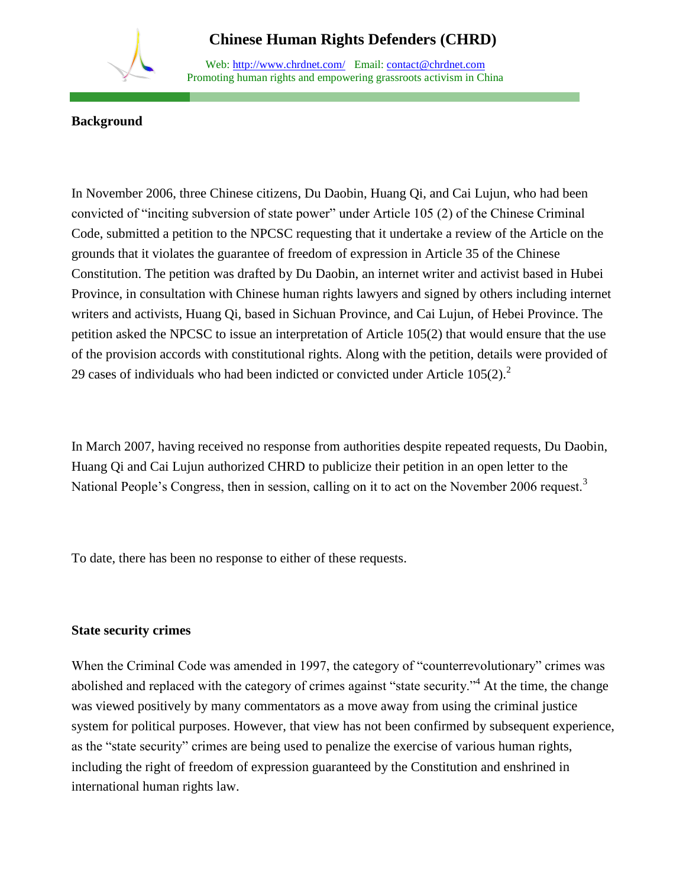#### Web: http://www.chrdnet.com/ Email: contact@chrdnet.com Promoting human rights and empowering grassroots activism in China

#### **Background**

In November 2006, three Chinese citizens, Du Daobin, Huang Qi, and Cai Lujun, who had been convicted of "inciting subversion of state power" under Article 105 (2) of the Chinese Criminal Code, submitted a petition to the NPCSC requesting that it undertake a review of the Article on the grounds that it violates the guarantee of freedom of expression in Article 35 of the Chinese Constitution. The petition was drafted by Du Daobin, an internet writer and activist based in Hubei Province, in consultation with Chinese human rights lawyers and signed by others including internet writers and activists, Huang Qi, based in Sichuan Province, and Cai Lujun, of Hebei Province. The petition asked the NPCSC to issue an interpretation of Article 105(2) that would ensure that the use of the provision accords with constitutional rights. Along with the petition, details were provided of 29 cases of individuals who had been indicted or convicted under Article  $105(2)$ .<sup>2</sup>

In March 2007, having received no response from authorities despite repeated requests, Du Daobin, Huang Qi and Cai Lujun authorized CHRD to publicize their petition in an open letter to the National People's Congress, then in session, calling on it to act on the November 2006 request.<sup>3</sup>

To date, there has been no response to either of these requests.

#### **State security crimes**

When the Criminal Code was amended in 1997, the category of "counterrevolutionary" crimes was abolished and replaced with the category of crimes against "state security."<sup>4</sup> At the time, the change was viewed positively by many commentators as a move away from using the criminal justice system for political purposes. However, that view has not been confirmed by subsequent experience, as the "state security" crimes are being used to penalize the exercise of various human rights, including the right of freedom of expression guaranteed by the Constitution and enshrined in international human rights law.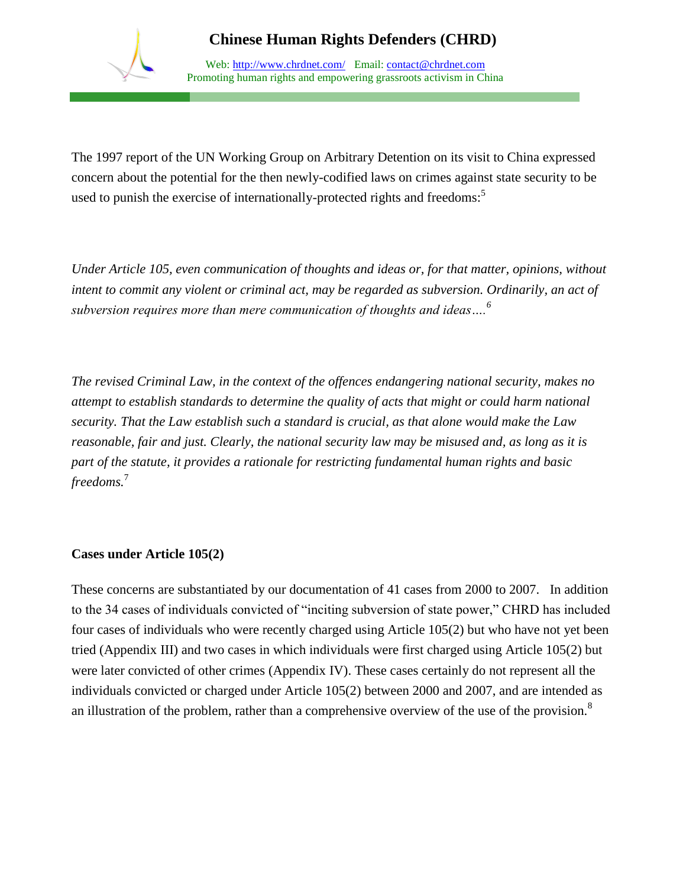

Web: http://www.chrdnet.com/ Email: contact@chrdnet.com Promoting human rights and empowering grassroots activism in China

The 1997 report of the UN Working Group on Arbitrary Detention on its visit to China expressed concern about the potential for the then newly-codified laws on crimes against state security to be used to punish the exercise of internationally-protected rights and freedoms:<sup>5</sup>

*Under Article 105, even communication of thoughts and ideas or, for that matter, opinions, without intent to commit any violent or criminal act, may be regarded as subversion. Ordinarily, an act of subversion requires more than mere communication of thoughts and ideas….<sup>6</sup>*

*The revised Criminal Law, in the context of the offences endangering national security, makes no attempt to establish standards to determine the quality of acts that might or could harm national security. That the Law establish such a standard is crucial, as that alone would make the Law reasonable, fair and just. Clearly, the national security law may be misused and, as long as it is part of the statute, it provides a rationale for restricting fundamental human rights and basic freedoms.*<sup>7</sup>

#### **Cases under Article 105(2)**

These concerns are substantiated by our documentation of 41 cases from 2000 to 2007. In addition to the 34 cases of individuals convicted of "inciting subversion of state power," CHRD has included four cases of individuals who were recently charged using Article 105(2) but who have not yet been tried (Appendix III) and two cases in which individuals were first charged using Article 105(2) but were later convicted of other crimes (Appendix IV). These cases certainly do not represent all the individuals convicted or charged under Article 105(2) between 2000 and 2007, and are intended as an illustration of the problem, rather than a comprehensive overview of the use of the provision.<sup>8</sup>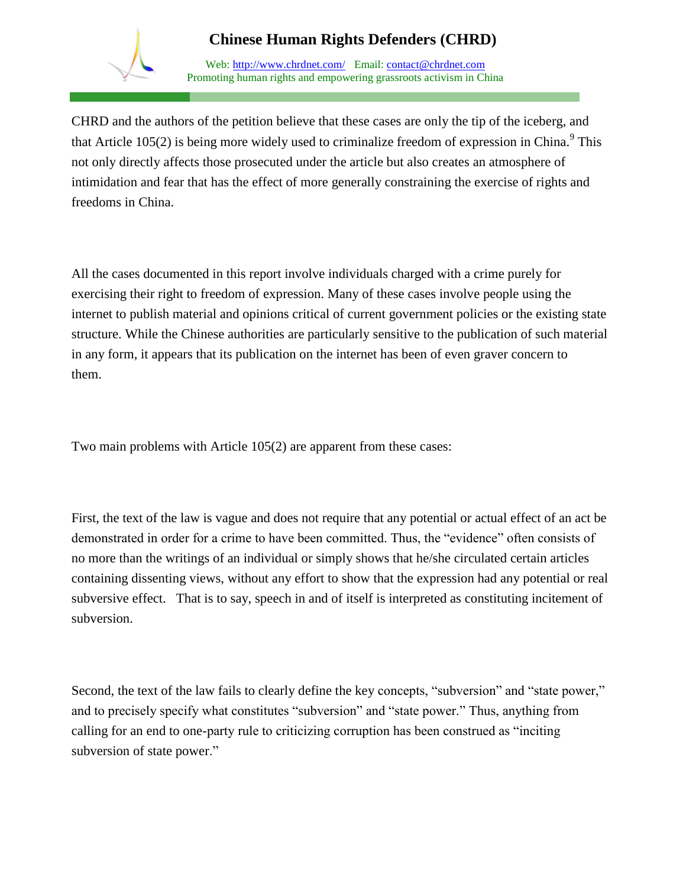

Web: http://www.chrdnet.com/ Email: contact@chrdnet.com Promoting human rights and empowering grassroots activism in China

CHRD and the authors of the petition believe that these cases are only the tip of the iceberg, and that Article 105(2) is being more widely used to criminalize freedom of expression in China.<sup>9</sup> This not only directly affects those prosecuted under the article but also creates an atmosphere of intimidation and fear that has the effect of more generally constraining the exercise of rights and freedoms in China.

All the cases documented in this report involve individuals charged with a crime purely for exercising their right to freedom of expression. Many of these cases involve people using the internet to publish material and opinions critical of current government policies or the existing state structure. While the Chinese authorities are particularly sensitive to the publication of such material in any form, it appears that its publication on the internet has been of even graver concern to them.

Two main problems with Article 105(2) are apparent from these cases:

First, the text of the law is vague and does not require that any potential or actual effect of an act be demonstrated in order for a crime to have been committed. Thus, the "evidence" often consists of no more than the writings of an individual or simply shows that he/she circulated certain articles containing dissenting views, without any effort to show that the expression had any potential or real subversive effect. That is to say, speech in and of itself is interpreted as constituting incitement of subversion.

Second, the text of the law fails to clearly define the key concepts, "subversion" and "state power," and to precisely specify what constitutes "subversion" and "state power." Thus, anything from calling for an end to one-party rule to criticizing corruption has been construed as "inciting subversion of state power."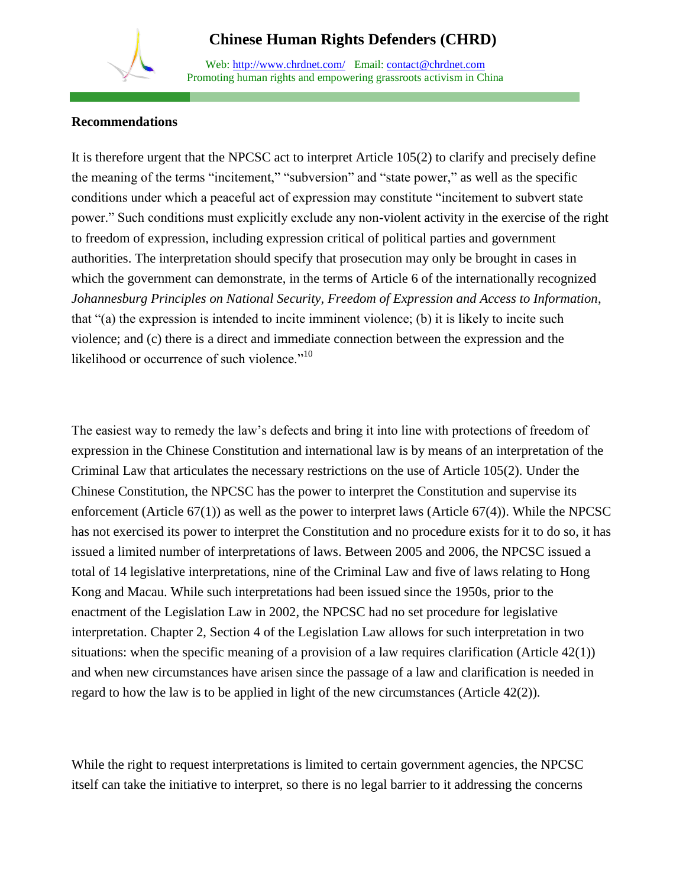Web: http://www.chrdnet.com/ Email: contact@chrdnet.com Promoting human rights and empowering grassroots activism in China

#### **Recommendations**

It is therefore urgent that the NPCSC act to interpret Article 105(2) to clarify and precisely define the meaning of the terms "incitement," "subversion" and "state power," as well as the specific conditions under which a peaceful act of expression may constitute "incitement to subvert state power." Such conditions must explicitly exclude any non-violent activity in the exercise of the right to freedom of expression, including expression critical of political parties and government authorities. The interpretation should specify that prosecution may only be brought in cases in which the government can demonstrate, in the terms of Article 6 of the internationally recognized *Johannesburg Principles on National Security, Freedom of Expression and Access to Information*, that "(a) the expression is intended to incite imminent violence; (b) it is likely to incite such violence; and (c) there is a direct and immediate connection between the expression and the likelihood or occurrence of such violence."<sup>10</sup>

The easiest way to remedy the law's defects and bring it into line with protections of freedom of expression in the Chinese Constitution and international law is by means of an interpretation of the Criminal Law that articulates the necessary restrictions on the use of Article 105(2). Under the Chinese Constitution, the NPCSC has the power to interpret the Constitution and supervise its enforcement (Article  $67(1)$ ) as well as the power to interpret laws (Article  $67(4)$ ). While the NPCSC has not exercised its power to interpret the Constitution and no procedure exists for it to do so, it has issued a limited number of interpretations of laws. Between 2005 and 2006, the NPCSC issued a total of 14 legislative interpretations, nine of the Criminal Law and five of laws relating to Hong Kong and Macau. While such interpretations had been issued since the 1950s, prior to the enactment of the Legislation Law in 2002, the NPCSC had no set procedure for legislative interpretation. Chapter 2, Section 4 of the Legislation Law allows for such interpretation in two situations: when the specific meaning of a provision of a law requires clarification (Article 42(1)) and when new circumstances have arisen since the passage of a law and clarification is needed in regard to how the law is to be applied in light of the new circumstances (Article 42(2)).

While the right to request interpretations is limited to certain government agencies, the NPCSC itself can take the initiative to interpret, so there is no legal barrier to it addressing the concerns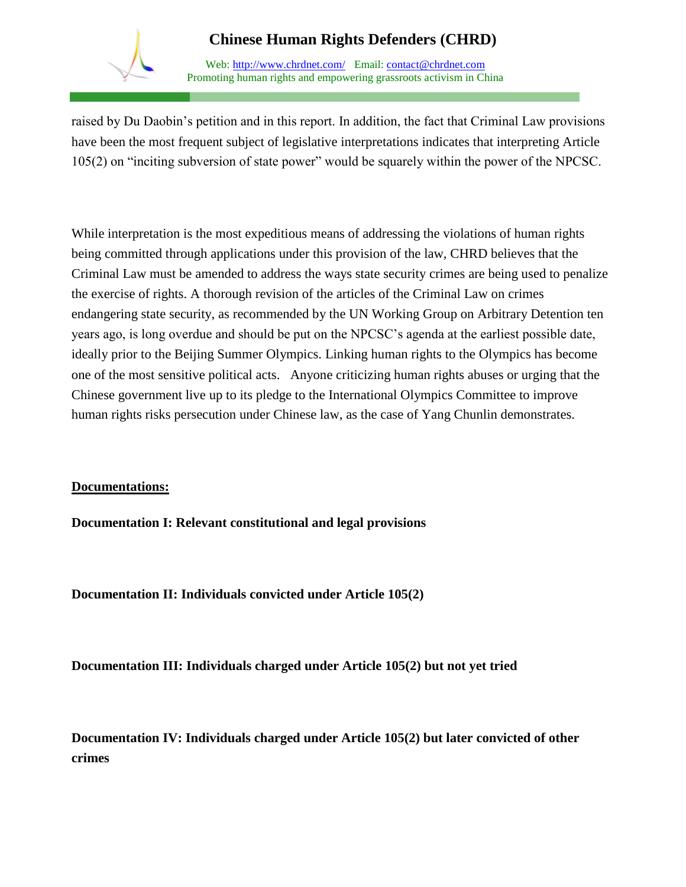

Web: http://www.chrdnet.com/ Email: contact@chrdnet.com Promoting human rights and empowering grassroots activism in China

raised by Du Daobin's petition and in this report. In addition, the fact that Criminal Law provisions have been the most frequent subject of legislative interpretations indicates that interpreting Article 105(2) on "inciting subversion of state power" would be squarely within the power of the NPCSC.

While interpretation is the most expeditious means of addressing the violations of human rights being committed through applications under this provision of the law, CHRD believes that the Criminal Law must be amended to address the ways state security crimes are being used to penalize the exercise of rights. A thorough revision of the articles of the Criminal Law on crimes endangering state security, as recommended by the UN Working Group on Arbitrary Detention ten years ago, is long overdue and should be put on the NPCSC's agenda at the earliest possible date, ideally prior to the Beijing Summer Olympics. Linking human rights to the Olympics has become one of the most sensitive political acts. Anyone criticizing human rights abuses or urging that the Chinese government live up to its pledge to the International Olympics Committee to improve human rights risks persecution under Chinese law, as the case of Yang Chunlin demonstrates.

#### **Documentations:**

**Documentation I: Relevant constitutional and legal provisions**

**Documentation II: Individuals convicted under Article 105(2)**

**Documentation III: Individuals charged under Article 105(2) but not yet tried**

**Documentation IV: Individuals charged under Article 105(2) but later convicted of other crimes**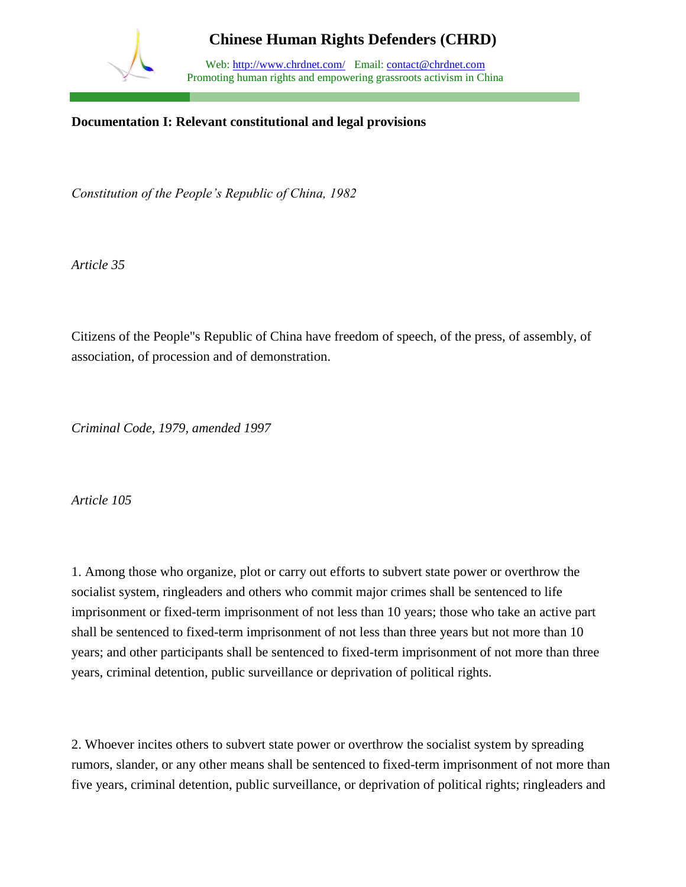

Web: http://www.chrdnet.com/ Email: contact@chrdnet.com Promoting human rights and empowering grassroots activism in China

#### **Documentation I: Relevant constitutional and legal provisions**

*Constitution of the People's Republic of China, 1982*

*Article 35*

Citizens of the People"s Republic of China have freedom of speech, of the press, of assembly, of association, of procession and of demonstration.

*Criminal Code, 1979, amended 1997*

*Article 105* 

1. Among those who organize, plot or carry out efforts to subvert state power or overthrow the socialist system, ringleaders and others who commit major crimes shall be sentenced to life imprisonment or fixed-term imprisonment of not less than 10 years; those who take an active part shall be sentenced to fixed-term imprisonment of not less than three years but not more than 10 years; and other participants shall be sentenced to fixed-term imprisonment of not more than three years, criminal detention, public surveillance or deprivation of political rights.

2. Whoever incites others to subvert state power or overthrow the socialist system by spreading rumors, slander, or any other means shall be sentenced to fixed-term imprisonment of not more than five years, criminal detention, public surveillance, or deprivation of political rights; ringleaders and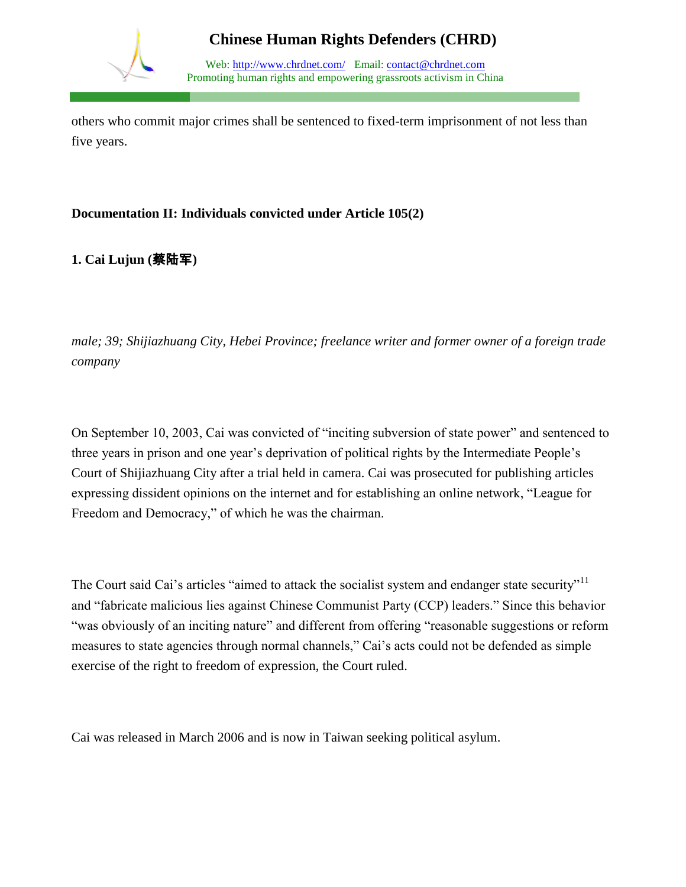

Web: http://www.chrdnet.com/ Email: contact@chrdnet.com Promoting human rights and empowering grassroots activism in China

others who commit major crimes shall be sentenced to fixed-term imprisonment of not less than five years.

#### **Documentation II: Individuals convicted under Article 105(2)**

**1. Cai Lujun (**蔡陆军**)**

*male; 39; Shijiazhuang City, Hebei Province; freelance writer and former owner of a foreign trade company* 

On September 10, 2003, Cai was convicted of "inciting subversion of state power" and sentenced to three years in prison and one year's deprivation of political rights by the Intermediate People's Court of Shijiazhuang City after a trial held in camera. Cai was prosecuted for publishing articles expressing dissident opinions on the internet and for establishing an online network, "League for Freedom and Democracy," of which he was the chairman.

The Court said Cai's articles "aimed to attack the socialist system and endanger state security"<sup>11</sup> and "fabricate malicious lies against Chinese Communist Party (CCP) leaders." Since this behavior "was obviously of an inciting nature" and different from offering "reasonable suggestions or reform measures to state agencies through normal channels," Cai's acts could not be defended as simple exercise of the right to freedom of expression, the Court ruled.

Cai was released in March 2006 and is now in Taiwan seeking political asylum.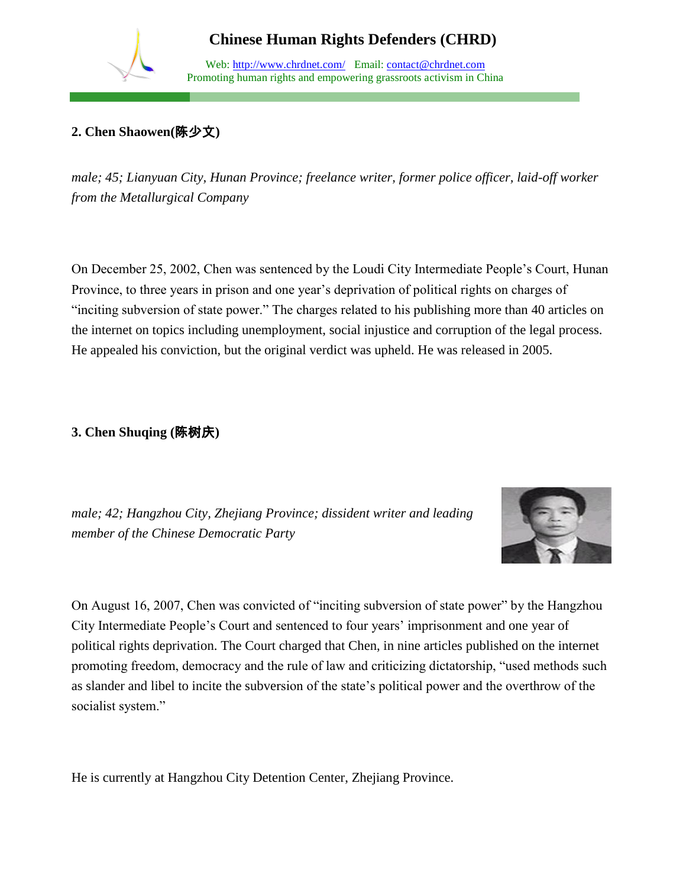Web: http://www.chrdnet.com/ Email: contact@chrdnet.com Promoting human rights and empowering grassroots activism in China

## **2. Chen Shaowen(**陈少文**)**

*male; 45; Lianyuan City, Hunan Province; freelance writer, former police officer, laid-off worker from the Metallurgical Company*

On December 25, 2002, Chen was sentenced by the Loudi City Intermediate People's Court, Hunan Province, to three years in prison and one year's deprivation of political rights on charges of "inciting subversion of state power." The charges related to his publishing more than 40 articles on the internet on topics including unemployment, social injustice and corruption of the legal process. He appealed his conviction, but the original verdict was upheld. He was released in 2005.

### **3. Chen Shuqing (**陈树庆**)**

*male; 42; Hangzhou City, Zhejiang Province; dissident writer and leading member of the Chinese Democratic Party* 



On August 16, 2007, Chen was convicted of "inciting subversion of state power" by the Hangzhou City Intermediate People's Court and sentenced to four years' imprisonment and one year of political rights deprivation. The Court charged that Chen, in nine articles published on the internet promoting freedom, democracy and the rule of law and criticizing dictatorship, "used methods such as slander and libel to incite the subversion of the state's political power and the overthrow of the socialist system."

He is currently at Hangzhou City Detention Center, Zhejiang Province.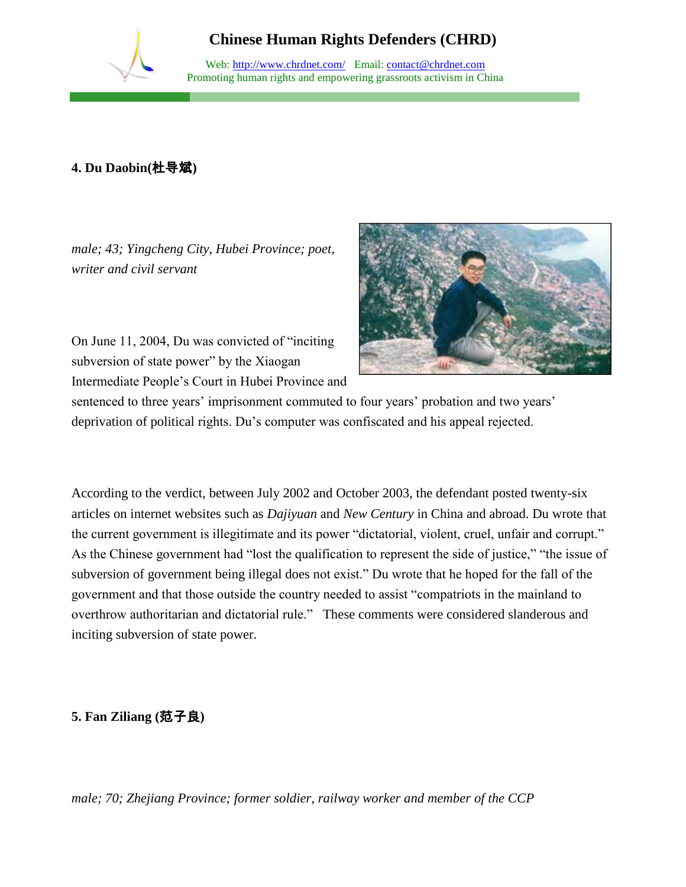Web: http://www.chrdnet.com/ Email: contact@chrdnet.com Promoting human rights and empowering grassroots activism in China

## **4. Du Daobin(**杜导斌**)**

*male; 43; Yingcheng City, Hubei Province; poet, writer and civil servant*

On June 11, 2004, Du was convicted of "inciting subversion of state power" by the Xiaogan Intermediate People's Court in Hubei Province and



sentenced to three years' imprisonment commuted to four years' probation and two years' deprivation of political rights. Du's computer was confiscated and his appeal rejected.

According to the verdict, between July 2002 and October 2003, the defendant posted twenty-six articles on internet websites such as *Dajiyuan* and *New Century* in China and abroad. Du wrote that the current government is illegitimate and its power "dictatorial, violent, cruel, unfair and corrupt." As the Chinese government had "lost the qualification to represent the side of justice," "the issue of subversion of government being illegal does not exist." Du wrote that he hoped for the fall of the government and that those outside the country needed to assist "compatriots in the mainland to overthrow authoritarian and dictatorial rule." These comments were considered slanderous and inciting subversion of state power.

#### **5. Fan Ziliang (**范子良**)**

*male; 70; Zhejiang Province; former soldier, railway worker and member of the CCP*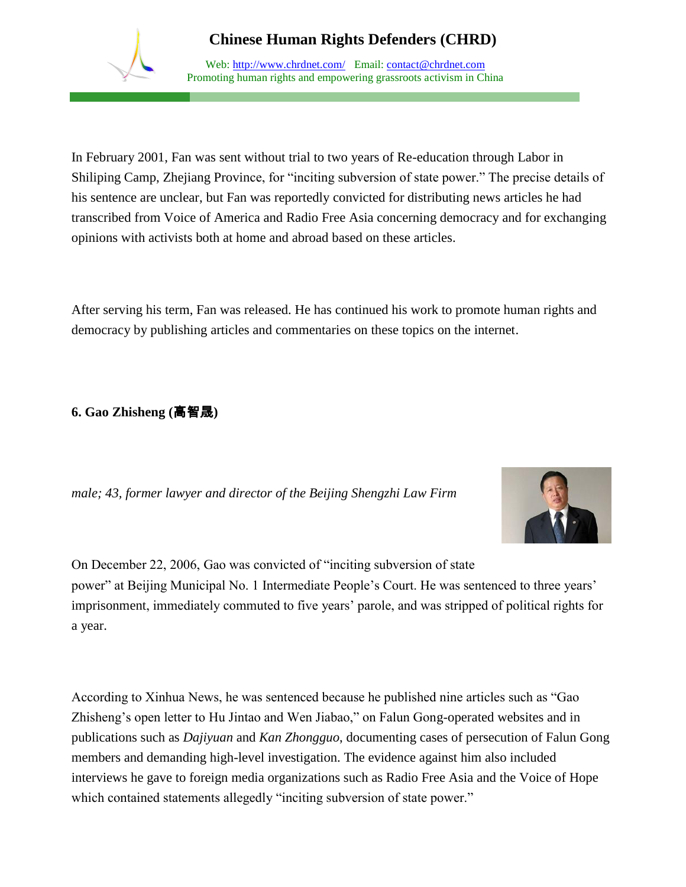

Web: http://www.chrdnet.com/ Email: contact@chrdnet.com Promoting human rights and empowering grassroots activism in China

In February 2001, Fan was sent without trial to two years of Re-education through Labor in Shiliping Camp, Zhejiang Province, for "inciting subversion of state power." The precise details of his sentence are unclear, but Fan was reportedly convicted for distributing news articles he had transcribed from Voice of America and Radio Free Asia concerning democracy and for exchanging opinions with activists both at home and abroad based on these articles.

After serving his term, Fan was released. He has continued his work to promote human rights and democracy by publishing articles and commentaries on these topics on the internet.

### **6. Gao Zhisheng (**高智晟**)**

*male; 43, former lawyer and director of the Beijing Shengzhi Law Firm* 



On December 22, 2006, Gao was convicted of "inciting subversion of state power" at Beijing Municipal No. 1 Intermediate People's Court. He was sentenced to three years' imprisonment, immediately commuted to five years' parole, and was stripped of political rights for a year.

According to Xinhua News, he was sentenced because he published nine articles such as "Gao Zhisheng's open letter to Hu Jintao and Wen Jiabao," on Falun Gong-operated websites and in publications such as *Dajiyuan* and *Kan Zhongguo*, documenting cases of persecution of Falun Gong members and demanding high-level investigation. The evidence against him also included interviews he gave to foreign media organizations such as Radio Free Asia and the Voice of Hope which contained statements allegedly "inciting subversion of state power."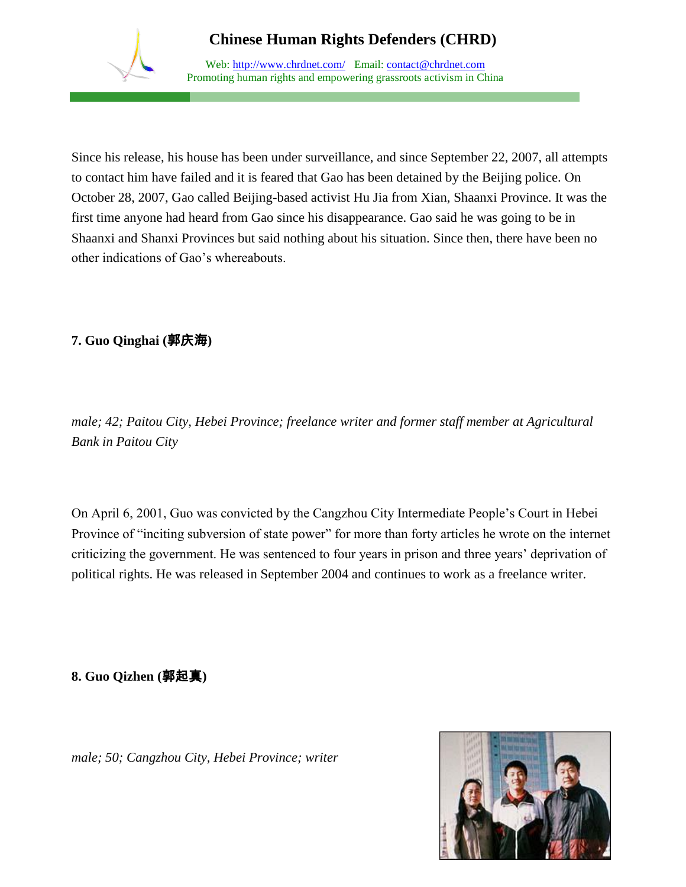

Web: http://www.chrdnet.com/ Email: contact@chrdnet.com Promoting human rights and empowering grassroots activism in China

Since his release, his house has been under surveillance, and since September 22, 2007, all attempts to contact him have failed and it is feared that Gao has been detained by the Beijing police. On October 28, 2007, Gao called Beijing-based activist Hu Jia from Xian, Shaanxi Province. It was the first time anyone had heard from Gao since his disappearance. Gao said he was going to be in Shaanxi and Shanxi Provinces but said nothing about his situation. Since then, there have been no other indications of Gao's whereabouts.

## **7. Guo Qinghai (**郭庆海**)**

*male; 42; Paitou City, Hebei Province; freelance writer and former staff member at Agricultural Bank in Paitou City*

On April 6, 2001, Guo was convicted by the Cangzhou City Intermediate People's Court in Hebei Province of "inciting subversion of state power" for more than forty articles he wrote on the internet criticizing the government. He was sentenced to four years in prison and three years' deprivation of political rights. He was released in September 2004 and continues to work as a freelance writer.

**8. Guo Qizhen (**郭起真**)**

*male; 50; Cangzhou City, Hebei Province; writer*

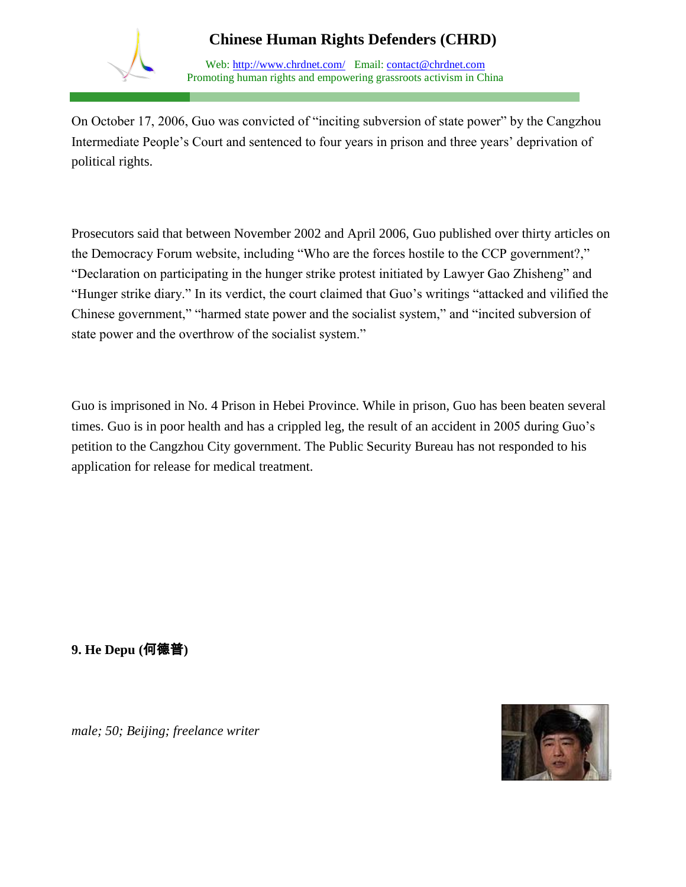

Web: http://www.chrdnet.com/ Email: contact@chrdnet.com Promoting human rights and empowering grassroots activism in China

On October 17, 2006, Guo was convicted of "inciting subversion of state power" by the Cangzhou Intermediate People's Court and sentenced to four years in prison and three years' deprivation of political rights.

Prosecutors said that between November 2002 and April 2006, Guo published over thirty articles on the Democracy Forum website, including "Who are the forces hostile to the CCP government?," "Declaration on participating in the hunger strike protest initiated by Lawyer Gao Zhisheng" and "Hunger strike diary." In its verdict, the court claimed that Guo's writings "attacked and vilified the Chinese government," "harmed state power and the socialist system," and "incited subversion of state power and the overthrow of the socialist system."

Guo is imprisoned in No. 4 Prison in Hebei Province. While in prison, Guo has been beaten several times. Guo is in poor health and has a crippled leg, the result of an accident in 2005 during Guo's petition to the Cangzhou City government. The Public Security Bureau has not responded to his application for release for medical treatment.

**9. He Depu (**何德普**)**

*male; 50; Beijing; freelance writer* 

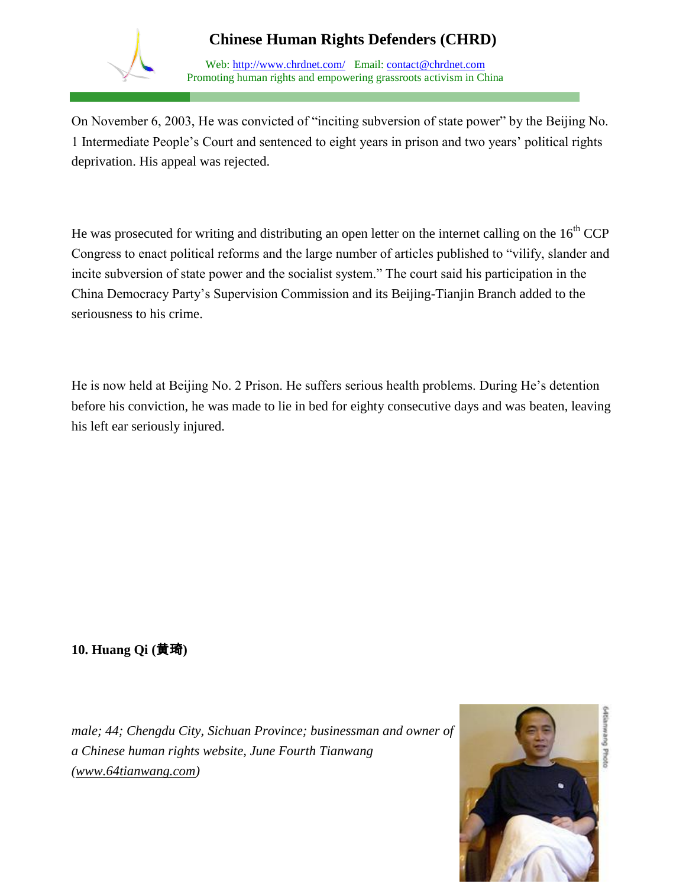

Web: http://www.chrdnet.com/ Email: contact@chrdnet.com Promoting human rights and empowering grassroots activism in China

On November 6, 2003, He was convicted of "inciting subversion of state power" by the Beijing No. 1 Intermediate People's Court and sentenced to eight years in prison and two years' political rights deprivation. His appeal was rejected.

He was prosecuted for writing and distributing an open letter on the internet calling on the  $16<sup>th</sup>$  CCP Congress to enact political reforms and the large number of articles published to "vilify, slander and incite subversion of state power and the socialist system." The court said his participation in the China Democracy Party's Supervision Commission and its Beijing-Tianjin Branch added to the seriousness to his crime.

He is now held at Beijing No. 2 Prison. He suffers serious health problems. During He's detention before his conviction, he was made to lie in bed for eighty consecutive days and was beaten, leaving his left ear seriously injured.

## **10. Huang Qi (**黄琦**)**

*male; 44; Chengdu City, Sichuan Province; businessman and owner of a Chinese human rights website, June Fourth Tianwang [\(www.64tianwang.com\)](http://www.64tianwang.com/)* 

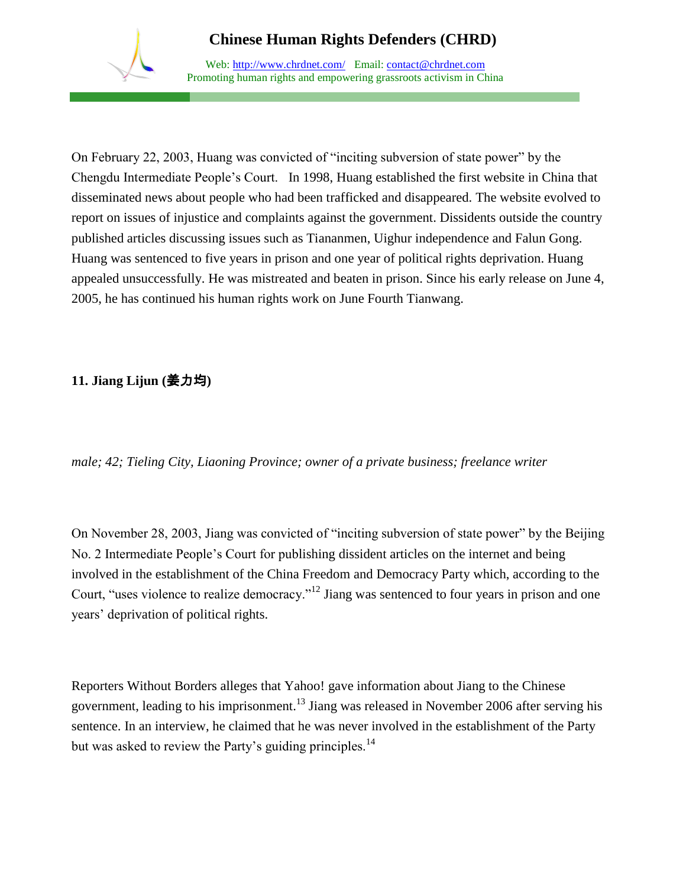

Web: http://www.chrdnet.com/ Email: contact@chrdnet.com Promoting human rights and empowering grassroots activism in China

On February 22, 2003, Huang was convicted of "inciting subversion of state power" by the Chengdu Intermediate People's Court. In 1998, Huang established the first website in China that disseminated news about people who had been trafficked and disappeared. The website evolved to report on issues of injustice and complaints against the government. Dissidents outside the country published articles discussing issues such as Tiananmen, Uighur independence and Falun Gong. Huang was sentenced to five years in prison and one year of political rights deprivation. Huang appealed unsuccessfully. He was mistreated and beaten in prison. Since his early release on June 4, 2005, he has continued his human rights work on June Fourth Tianwang.

### **11. Jiang Lijun (**姜力均**)**

*male; 42; Tieling City, Liaoning Province; owner of a private business; freelance writer*

On November 28, 2003, Jiang was convicted of "inciting subversion of state power" by the Beijing No. 2 Intermediate People's Court for publishing dissident articles on the internet and being involved in the establishment of the China Freedom and Democracy Party which, according to the Court, "uses violence to realize democracy."<sup>12</sup> Jiang was sentenced to four years in prison and one years' deprivation of political rights.

Reporters Without Borders alleges that Yahoo! gave information about Jiang to the Chinese government, leading to his imprisonment.<sup>13</sup> Jiang was released in November 2006 after serving his sentence. In an interview, he claimed that he was never involved in the establishment of the Party but was asked to review the Party's guiding principles.<sup>14</sup>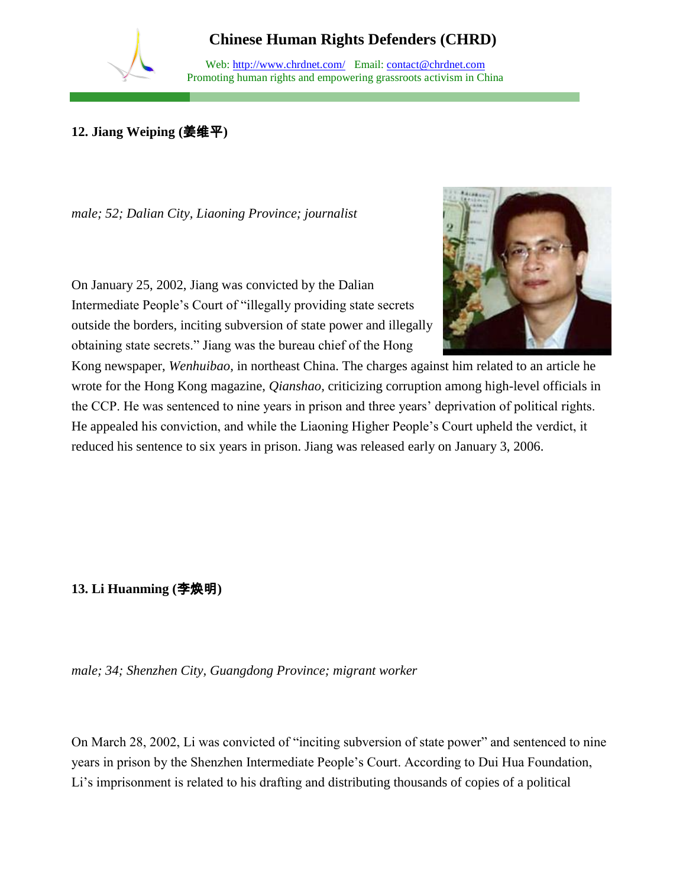Web: http://www.chrdnet.com/ Email: contact@chrdnet.com Promoting human rights and empowering grassroots activism in China

## **12. Jiang Weiping (**姜维平**)**

*male; 52; Dalian City, Liaoning Province; journalist*

On January 25, 2002, Jiang was convicted by the Dalian Intermediate People's Court of "illegally providing state secrets outside the borders, inciting subversion of state power and illegally obtaining state secrets." Jiang was the bureau chief of the Hong



Kong newspaper, *Wenhuibao,* in northeast China. The charges against him related to an article he wrote for the Hong Kong magazine, *Qianshao,* criticizing corruption among high-level officials in the CCP. He was sentenced to nine years in prison and three years' deprivation of political rights. He appealed his conviction, and while the Liaoning Higher People's Court upheld the verdict, it reduced his sentence to six years in prison. Jiang was released early on January 3, 2006.

**13. Li Huanming (**李焕明**)**

*male; 34; Shenzhen City, Guangdong Province; migrant worker*

On March 28, 2002, Li was convicted of "inciting subversion of state power" and sentenced to nine years in prison by the Shenzhen Intermediate People's Court. According to Dui Hua Foundation, Li's imprisonment is related to his drafting and distributing thousands of copies of a political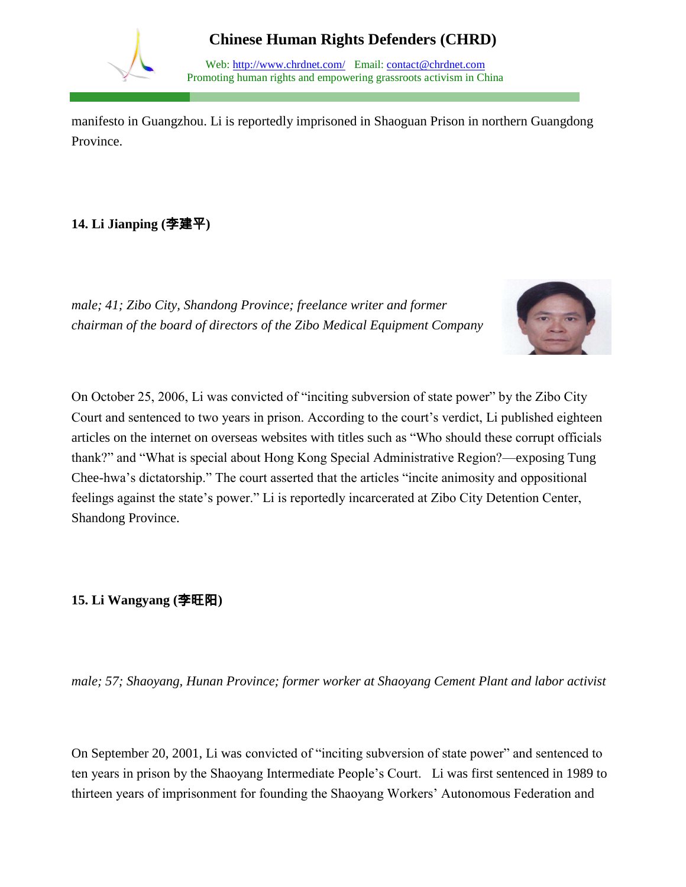

Web: http://www.chrdnet.com/ Email: contact@chrdnet.com Promoting human rights and empowering grassroots activism in China

manifesto in Guangzhou. Li is reportedly imprisoned in Shaoguan Prison in northern Guangdong Province.

## **14. Li Jianping (**李建平**)**

*male; 41; Zibo City, Shandong Province; freelance writer and former chairman of the board of directors of the Zibo Medical Equipment Company*



On October 25, 2006, Li was convicted of "inciting subversion of state power" by the Zibo City Court and sentenced to two years in prison. According to the court's verdict, Li published eighteen articles on the internet on overseas websites with titles such as "Who should these corrupt officials thank?" and "What is special about Hong Kong Special Administrative Region?—exposing Tung Chee-hwa's dictatorship." The court asserted that the articles "incite animosity and oppositional feelings against the state's power." Li is reportedly incarcerated at Zibo City Detention Center, Shandong Province.

### **15. Li Wangyang (**李旺阳**)**

*male; 57; Shaoyang, Hunan Province; former worker at Shaoyang Cement Plant and labor activist*

On September 20, 2001, Li was convicted of "inciting subversion of state power" and sentenced to ten years in prison by the Shaoyang Intermediate People's Court. Li was first sentenced in 1989 to thirteen years of imprisonment for founding the Shaoyang Workers' Autonomous Federation and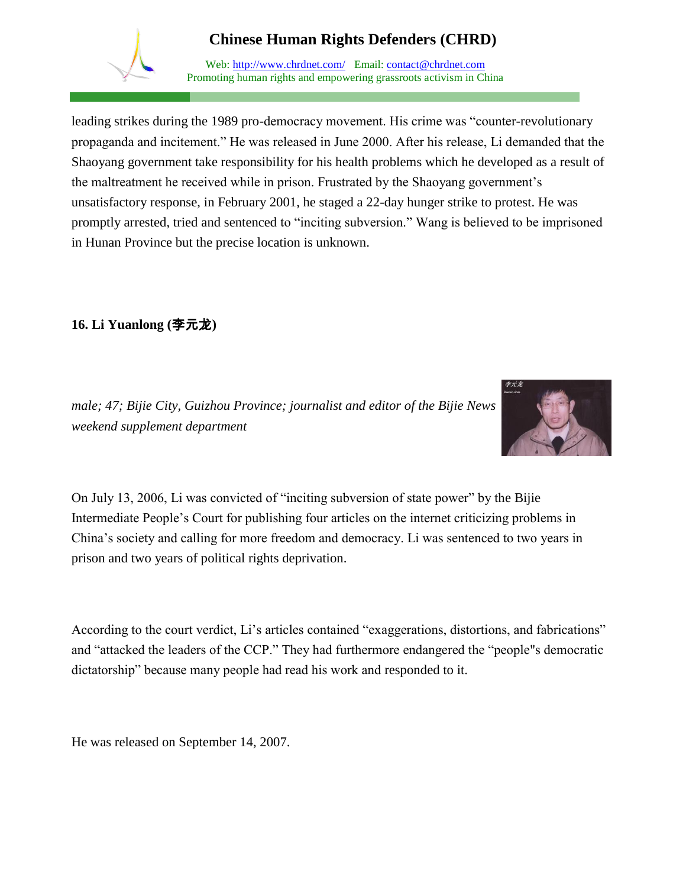

Web: http://www.chrdnet.com/ Email: contact@chrdnet.com Promoting human rights and empowering grassroots activism in China

leading strikes during the 1989 pro-democracy movement. His crime was "counter-revolutionary propaganda and incitement." He was released in June 2000. After his release, Li demanded that the Shaoyang government take responsibility for his health problems which he developed as a result of the maltreatment he received while in prison. Frustrated by the Shaoyang government's unsatisfactory response, in February 2001, he staged a 22-day hunger strike to protest. He was promptly arrested, tried and sentenced to "inciting subversion." Wang is believed to be imprisoned in Hunan Province but the precise location is unknown.

## **16. Li Yuanlong (**李元龙**)**

*male; 47; Bijie City, Guizhou Province; journalist and editor of the Bijie News weekend supplement department*



On July 13, 2006, Li was convicted of "inciting subversion of state power" by the Bijie Intermediate People's Court for publishing four articles on the internet criticizing problems in China's society and calling for more freedom and democracy. Li was sentenced to two years in prison and two years of political rights deprivation.

According to the court verdict, Li's articles contained "exaggerations, distortions, and fabrications" and "attacked the leaders of the CCP." They had furthermore endangered the "people"s democratic dictatorship" because many people had read his work and responded to it.

He was released on September 14, 2007.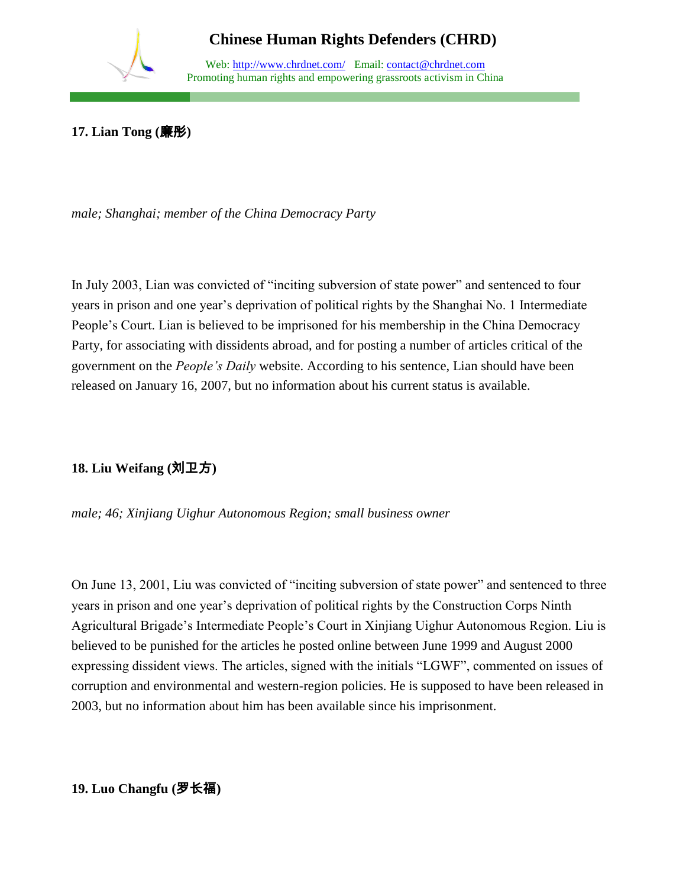

Web: http://www.chrdnet.com/ Email: contact@chrdnet.com Promoting human rights and empowering grassroots activism in China

**17. Lian Tong (**廉彤**)**

*male; Shanghai; member of the China Democracy Party*

In July 2003, Lian was convicted of "inciting subversion of state power" and sentenced to four years in prison and one year's deprivation of political rights by the Shanghai No. 1 Intermediate People's Court. Lian is believed to be imprisoned for his membership in the China Democracy Party, for associating with dissidents abroad, and for posting a number of articles critical of the government on the *People's Daily* website. According to his sentence, Lian should have been released on January 16, 2007, but no information about his current status is available.

## **18. Liu Weifang (**刘卫方**)**

*male; 46; Xinjiang Uighur Autonomous Region; small business owner*

On June 13, 2001, Liu was convicted of "inciting subversion of state power" and sentenced to three years in prison and one year's deprivation of political rights by the Construction Corps Ninth Agricultural Brigade's Intermediate People's Court in Xinjiang Uighur Autonomous Region. Liu is believed to be punished for the articles he posted online between June 1999 and August 2000 expressing dissident views. The articles, signed with the initials "LGWF", commented on issues of corruption and environmental and western-region policies. He is supposed to have been released in 2003, but no information about him has been available since his imprisonment.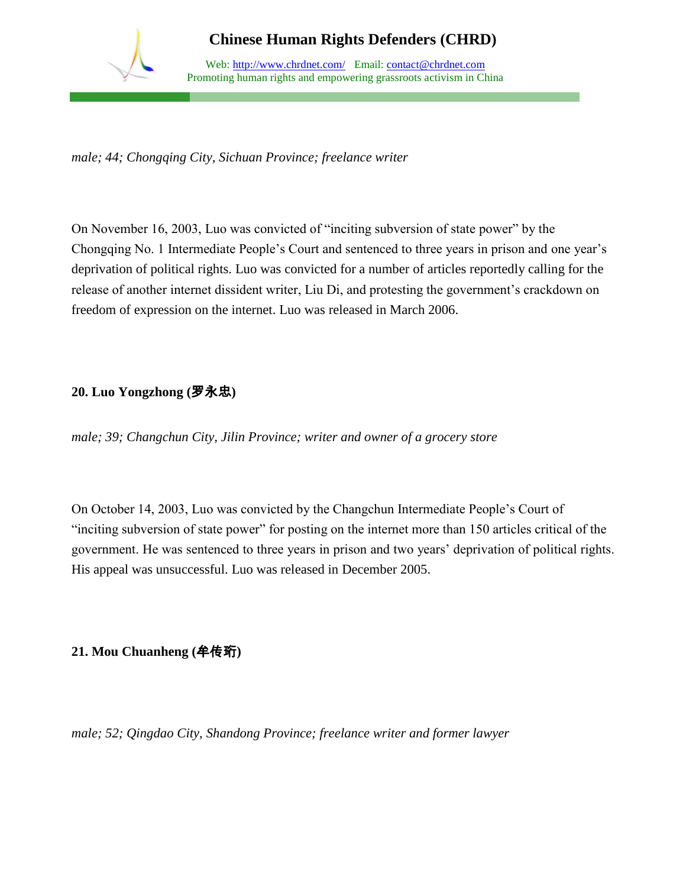

Web: http://www.chrdnet.com/ Email: contact@chrdnet.com Promoting human rights and empowering grassroots activism in China

*male; 44; Chongqing City, Sichuan Province; freelance writer*

On November 16, 2003, Luo was convicted of "inciting subversion of state power" by the Chongqing No. 1 Intermediate People's Court and sentenced to three years in prison and one year's deprivation of political rights. Luo was convicted for a number of articles reportedly calling for the release of another internet dissident writer, Liu Di, and protesting the government's crackdown on freedom of expression on the internet. Luo was released in March 2006.

### **20. Luo Yongzhong (**罗永忠**)**

*male; 39; Changchun City, Jilin Province; writer and owner of a grocery store*

On October 14, 2003, Luo was convicted by the Changchun Intermediate People's Court of "inciting subversion of state power" for posting on the internet more than 150 articles critical of the government. He was sentenced to three years in prison and two years' deprivation of political rights. His appeal was unsuccessful. Luo was released in December 2005.

**21. Mou Chuanheng (**牟传珩**)**

*male; 52; Qingdao City, Shandong Province; freelance writer and former lawyer*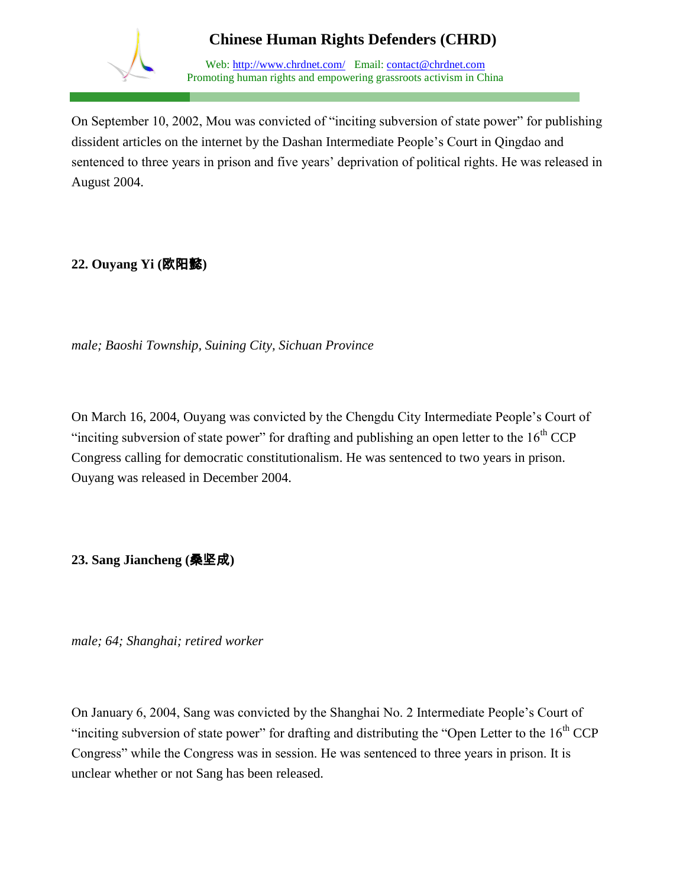

Web: http://www.chrdnet.com/ Email: contact@chrdnet.com Promoting human rights and empowering grassroots activism in China

On September 10, 2002, Mou was convicted of "inciting subversion of state power" for publishing dissident articles on the internet by the Dashan Intermediate People's Court in Qingdao and sentenced to three years in prison and five years' deprivation of political rights. He was released in August 2004.

### **22. Ouyang Yi (**欧阳懿**)**

*male; Baoshi Township, Suining City, Sichuan Province*

On March 16, 2004, Ouyang was convicted by the Chengdu City Intermediate People's Court of "inciting subversion of state power" for drafting and publishing an open letter to the  $16<sup>th</sup> CCP$ Congress calling for democratic constitutionalism. He was sentenced to two years in prison. Ouyang was released in December 2004.

**23. Sang Jiancheng (**桑坚成**)**

*male; 64; Shanghai; retired worker*

On January 6, 2004, Sang was convicted by the Shanghai No. 2 Intermediate People's Court of "inciting subversion of state power" for drafting and distributing the "Open Letter to the  $16<sup>th</sup> CCP$ Congress" while the Congress was in session. He was sentenced to three years in prison. It is unclear whether or not Sang has been released.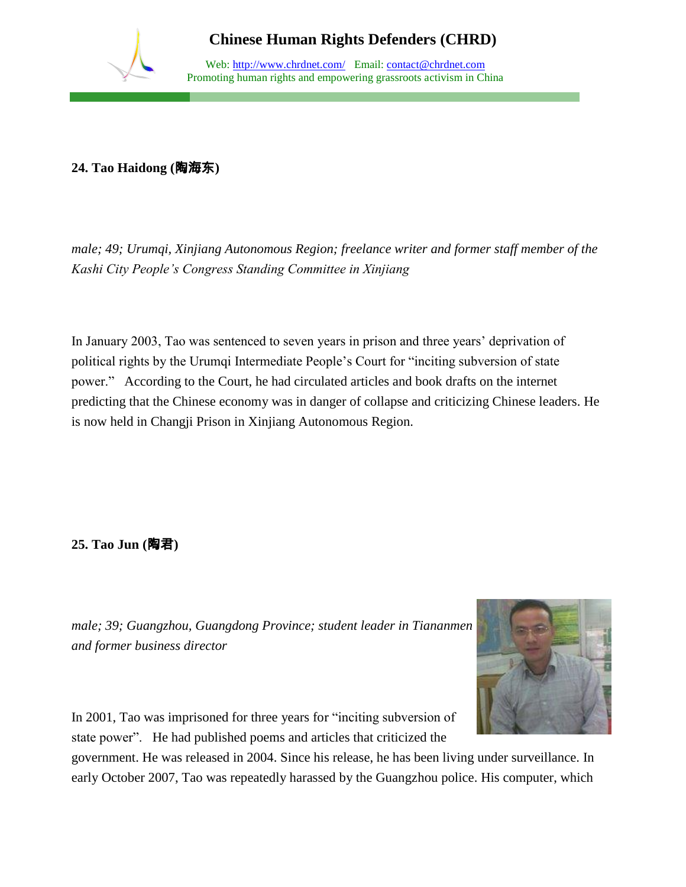

Web: http://www.chrdnet.com/ Email: contact@chrdnet.com Promoting human rights and empowering grassroots activism in China

#### **24. Tao Haidong (**陶海东**)**

*male; 49; Urumqi, Xinjiang Autonomous Region; freelance writer and former staff member of the Kashi City People's Congress Standing Committee in Xinjiang*

In January 2003, Tao was sentenced to seven years in prison and three years' deprivation of political rights by the Urumqi Intermediate People's Court for "inciting subversion of state power." According to the Court, he had circulated articles and book drafts on the internet predicting that the Chinese economy was in danger of collapse and criticizing Chinese leaders. He is now held in Changji Prison in Xinjiang Autonomous Region.

**25. Tao Jun (**陶君**)**

*male; 39; Guangzhou, Guangdong Province; student leader in Tiananmen and former business director*



In 2001, Tao was imprisoned for three years for "inciting subversion of state power". He had published poems and articles that criticized the

government. He was released in 2004. Since his release, he has been living under surveillance. In early October 2007, Tao was repeatedly harassed by the Guangzhou police. His computer, which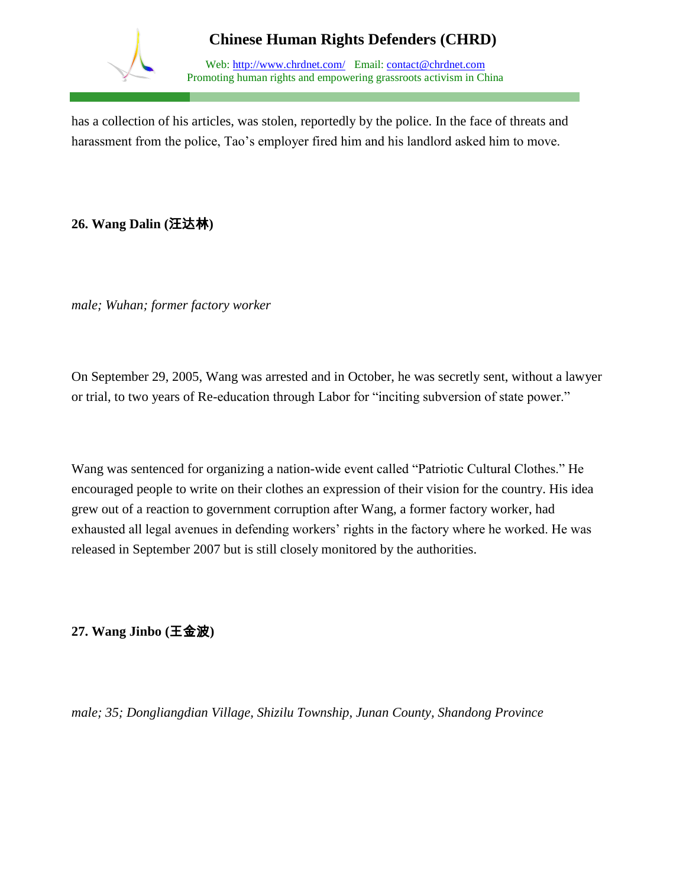

Web: http://www.chrdnet.com/ Email: contact@chrdnet.com Promoting human rights and empowering grassroots activism in China

has a collection of his articles, was stolen, reportedly by the police. In the face of threats and harassment from the police, Tao's employer fired him and his landlord asked him to move.

## **26. Wang Dalin (**汪达林**)**

*male; Wuhan; former factory worker*

On September 29, 2005, Wang was arrested and in October, he was secretly sent, without a lawyer or trial, to two years of Re-education through Labor for "inciting subversion of state power."

Wang was sentenced for organizing a nation-wide event called "Patriotic Cultural Clothes." He encouraged people to write on their clothes an expression of their vision for the country. His idea grew out of a reaction to government corruption after Wang, a former factory worker, had exhausted all legal avenues in defending workers' rights in the factory where he worked. He was released in September 2007 but is still closely monitored by the authorities.

**27. Wang Jinbo (**王金波**)**

*male; 35; Dongliangdian Village, Shizilu Township, Junan County, Shandong Province*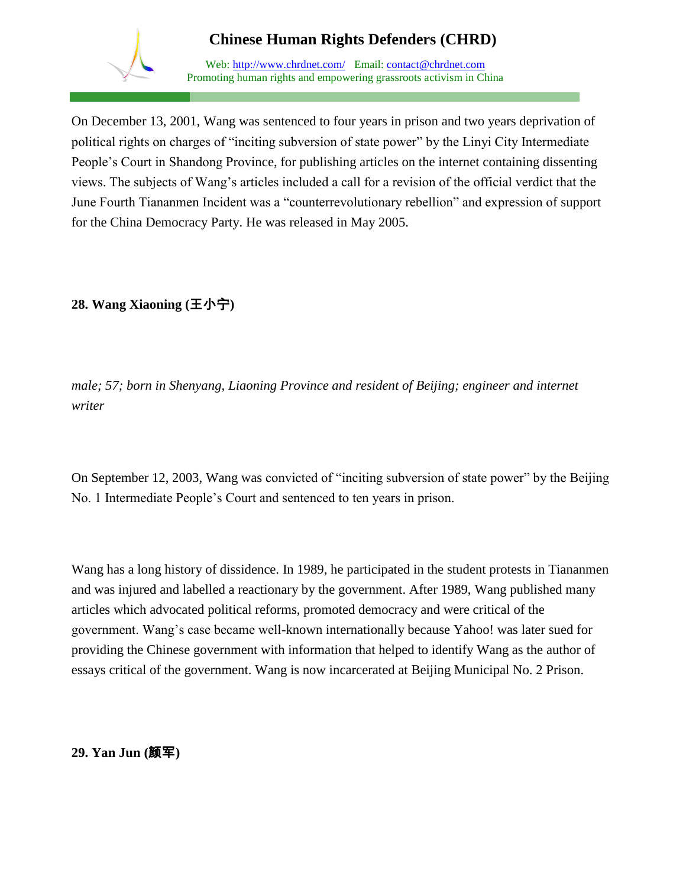

Web: http://www.chrdnet.com/ Email: contact@chrdnet.com Promoting human rights and empowering grassroots activism in China

On December 13, 2001, Wang was sentenced to four years in prison and two years deprivation of political rights on charges of "inciting subversion of state power" by the Linyi City Intermediate People's Court in Shandong Province, for publishing articles on the internet containing dissenting views. The subjects of Wang's articles included a call for a revision of the official verdict that the June Fourth Tiananmen Incident was a "counterrevolutionary rebellion" and expression of support for the China Democracy Party. He was released in May 2005.

## **28. Wang Xiaoning (**王小宁**)**

*male; 57; born in Shenyang, Liaoning Province and resident of Beijing; engineer and internet writer*

On September 12, 2003, Wang was convicted of "inciting subversion of state power" by the Beijing No. 1 Intermediate People's Court and sentenced to ten years in prison.

Wang has a long history of dissidence. In 1989, he participated in the student protests in Tiananmen and was injured and labelled a reactionary by the government. After 1989, Wang published many articles which advocated political reforms, promoted democracy and were critical of the government. Wang's case became well-known internationally because Yahoo! was later sued for providing the Chinese government with information that helped to identify Wang as the author of essays critical of the government. Wang is now incarcerated at Beijing Municipal No. 2 Prison.

#### **29. Yan Jun (**颜军**)**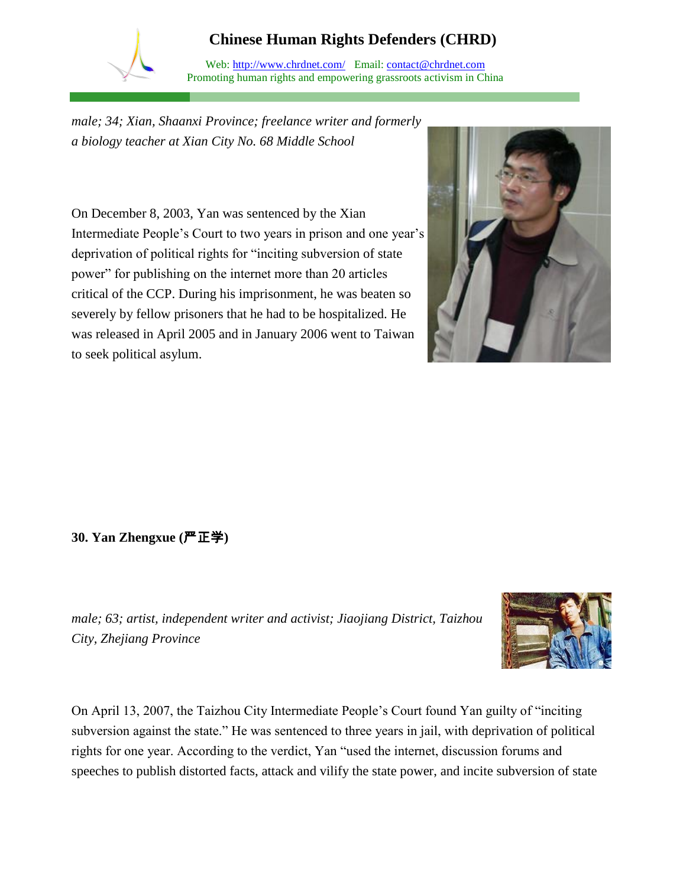Web: http://www.chrdnet.com/ Email: contact@chrdnet.com Promoting human rights and empowering grassroots activism in China

*male; 34; Xian, Shaanxi Province; freelance writer and formerly a biology teacher at Xian City No. 68 Middle School*

On December 8, 2003, Yan was sentenced by the Xian Intermediate People's Court to two years in prison and one year's deprivation of political rights for "inciting subversion of state power" for publishing on the internet more than 20 articles critical of the CCP. During his imprisonment, he was beaten so severely by fellow prisoners that he had to be hospitalized. He was released in April 2005 and in January 2006 went to Taiwan to seek political asylum.



### **30. Yan Zhengxue (**严正学**)**

*male; 63; artist, independent writer and activist; Jiaojiang District, Taizhou City, Zhejiang Province*



On April 13, 2007, the Taizhou City Intermediate People's Court found Yan guilty of "inciting subversion against the state." He was sentenced to three years in jail, with deprivation of political rights for one year. According to the verdict, Yan "used the internet, discussion forums and speeches to publish distorted facts, attack and vilify the state power, and incite subversion of state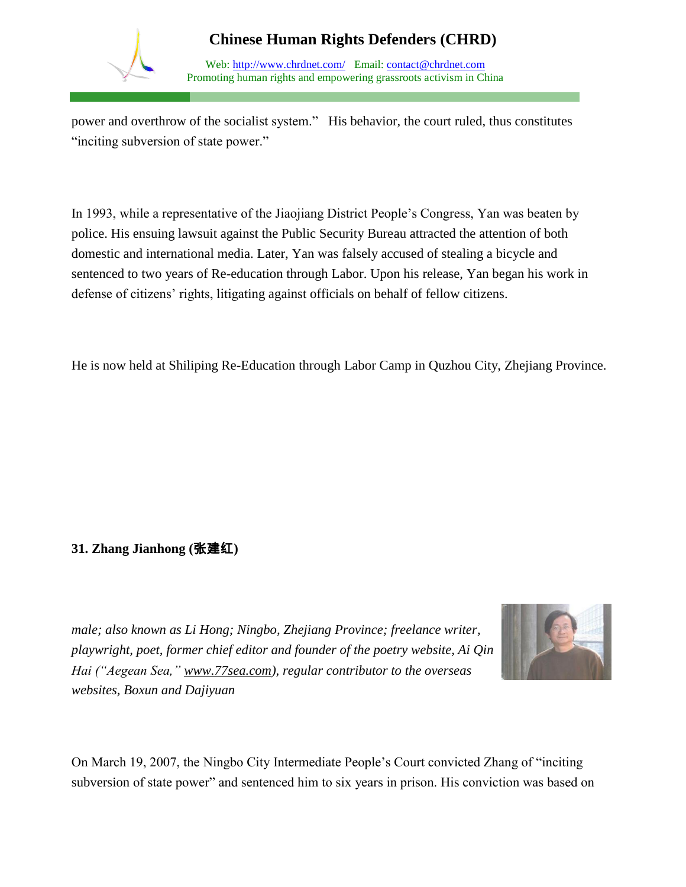

Web: http://www.chrdnet.com/ Email: contact@chrdnet.com Promoting human rights and empowering grassroots activism in China

power and overthrow of the socialist system." His behavior, the court ruled, thus constitutes "inciting subversion of state power."

In 1993, while a representative of the Jiaojiang District People's Congress, Yan was beaten by police. His ensuing lawsuit against the Public Security Bureau attracted the attention of both domestic and international media. Later, Yan was falsely accused of stealing a bicycle and sentenced to two years of Re-education through Labor. Upon his release, Yan began his work in defense of citizens' rights, litigating against officials on behalf of fellow citizens.

He is now held at Shiliping Re-Education through Labor Camp in Quzhou City, Zhejiang Province.

## **31. Zhang Jianhong (**张建红**)**

*male; also known as Li Hong; Ningbo, Zhejiang Province; freelance writer, playwright, poet, former chief editor and founder of the poetry website, Ai Qin Hai ("Aegean Sea," [www.77sea.com\)](http://www.77sea.com/), regular contributor to the overseas websites, Boxun and Dajiyuan*



On March 19, 2007, the Ningbo City Intermediate People's Court convicted Zhang of "inciting subversion of state power" and sentenced him to six years in prison. His conviction was based on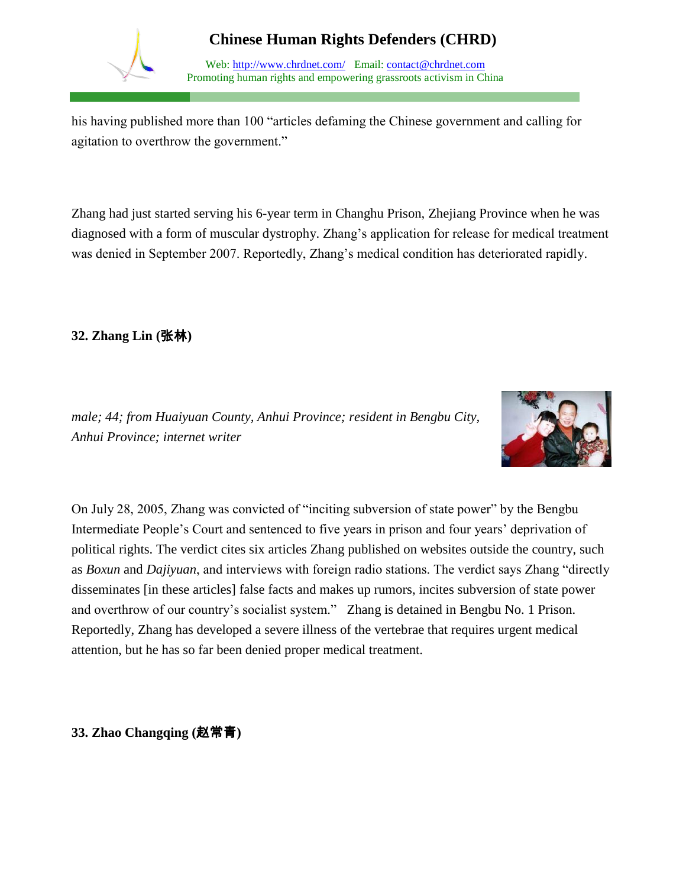

Web: http://www.chrdnet.com/ Email: contact@chrdnet.com Promoting human rights and empowering grassroots activism in China

his having published more than 100 "articles defaming the Chinese government and calling for agitation to overthrow the government."

Zhang had just started serving his 6-year term in Changhu Prison, Zhejiang Province when he was diagnosed with a form of muscular dystrophy. Zhang's application for release for medical treatment was denied in September 2007. Reportedly, Zhang's medical condition has deteriorated rapidly.

**32. Zhang Lin (**张林**)**

*male; 44; from Huaiyuan County, Anhui Province; resident in Bengbu City, Anhui Province; internet writer* 



On July 28, 2005, Zhang was convicted of "inciting subversion of state power" by the Bengbu Intermediate People's Court and sentenced to five years in prison and four years' deprivation of political rights. The verdict cites six articles Zhang published on websites outside the country, such as *Boxun* and *Dajiyuan*, and interviews with foreign radio stations. The verdict says Zhang "directly disseminates [in these articles] false facts and makes up rumors, incites subversion of state power and overthrow of our country's socialist system." Zhang is detained in Bengbu No. 1 Prison. Reportedly, Zhang has developed a severe illness of the vertebrae that requires urgent medical attention, but he has so far been denied proper medical treatment.

**33. Zhao Changqing (**赵常青**)**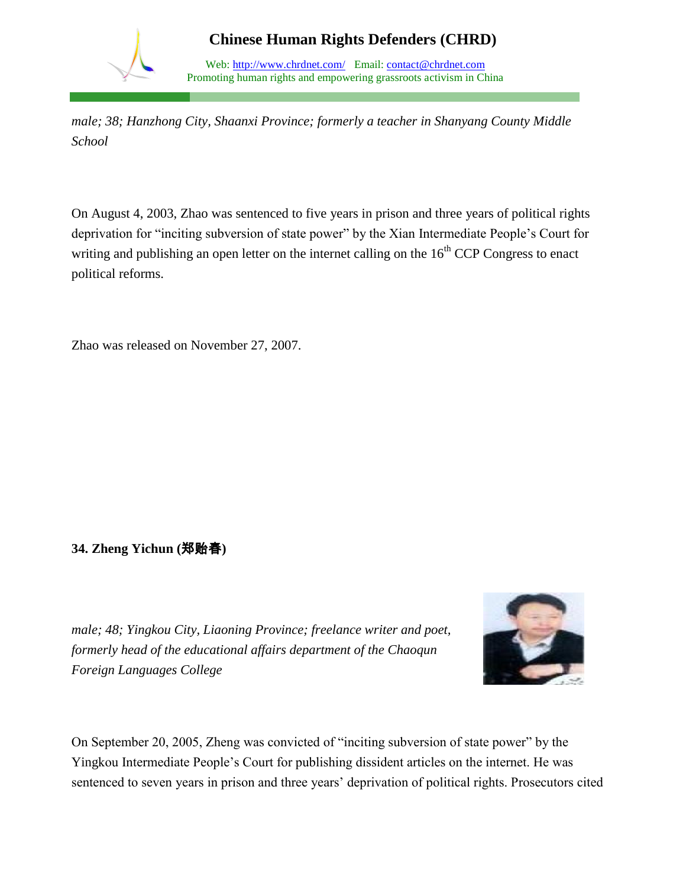

*male; 38; Hanzhong City, Shaanxi Province; formerly a teacher in Shanyang County Middle School* 

On August 4, 2003, Zhao was sentenced to five years in prison and three years of political rights deprivation for "inciting subversion of state power" by the Xian Intermediate People's Court for writing and publishing an open letter on the internet calling on the  $16<sup>th</sup> CCP$  Congress to enact political reforms.

Zhao was released on November 27, 2007.

### **34. Zheng Yichun (**郑贻春**)**

*male; 48; Yingkou City, Liaoning Province; freelance writer and poet, formerly head of the educational affairs department of the Chaoqun Foreign Languages College* 



On September 20, 2005, Zheng was convicted of "inciting subversion of state power" by the Yingkou Intermediate People's Court for publishing dissident articles on the internet. He was sentenced to seven years in prison and three years' deprivation of political rights. Prosecutors cited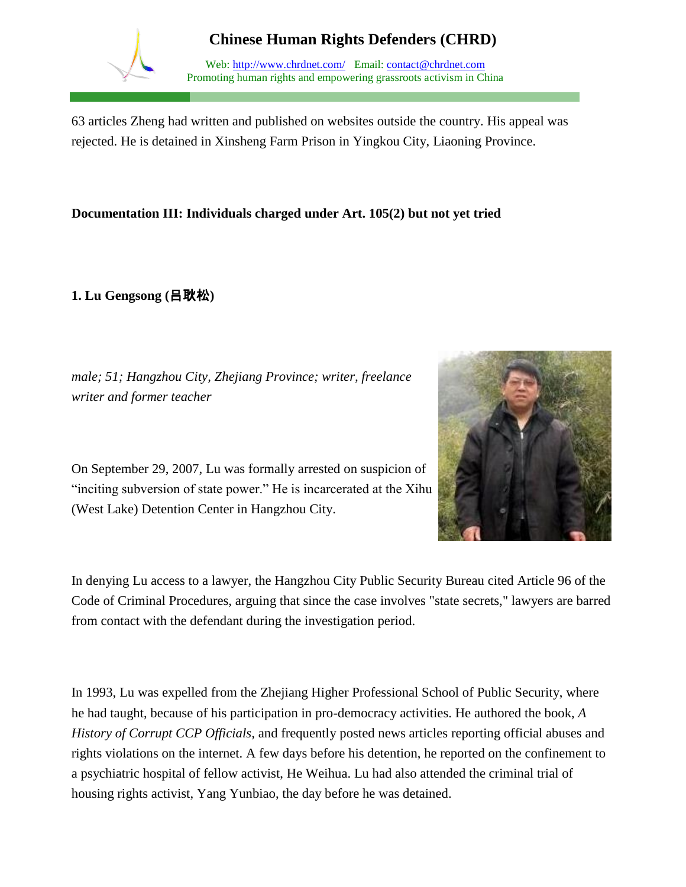

Web: http://www.chrdnet.com/ Email: contact@chrdnet.com Promoting human rights and empowering grassroots activism in China

63 articles Zheng had written and published on websites outside the country. His appeal was rejected. He is detained in Xinsheng Farm Prison in Yingkou City, Liaoning Province.

#### **Documentation III: Individuals charged under Art. 105(2) but not yet tried**

**1. Lu Gengsong (**吕耿松**)**



*male; 51; Hangzhou City, Zhejiang Province; writer, freelance writer and former teacher*

On September 29, 2007, Lu was formally arrested on suspicion of "inciting subversion of state power." He is incarcerated at the Xihu (West Lake) Detention Center in Hangzhou City.

In denying Lu access to a lawyer, the Hangzhou City Public Security Bureau cited Article 96 of the Code of Criminal Procedures, arguing that since the case involves "state secrets," lawyers are barred from contact with the defendant during the investigation period.

In 1993, Lu was expelled from the Zhejiang Higher Professional School of Public Security, where he had taught, because of his participation in pro-democracy activities. He authored the book, *A History of Corrupt CCP Officials,* and frequently posted news articles reporting official abuses and rights violations on the internet. A few days before his detention, he reported on the confinement to a psychiatric hospital of fellow activist, He Weihua. Lu had also attended the criminal trial of housing rights activist, Yang Yunbiao, the day before he was detained.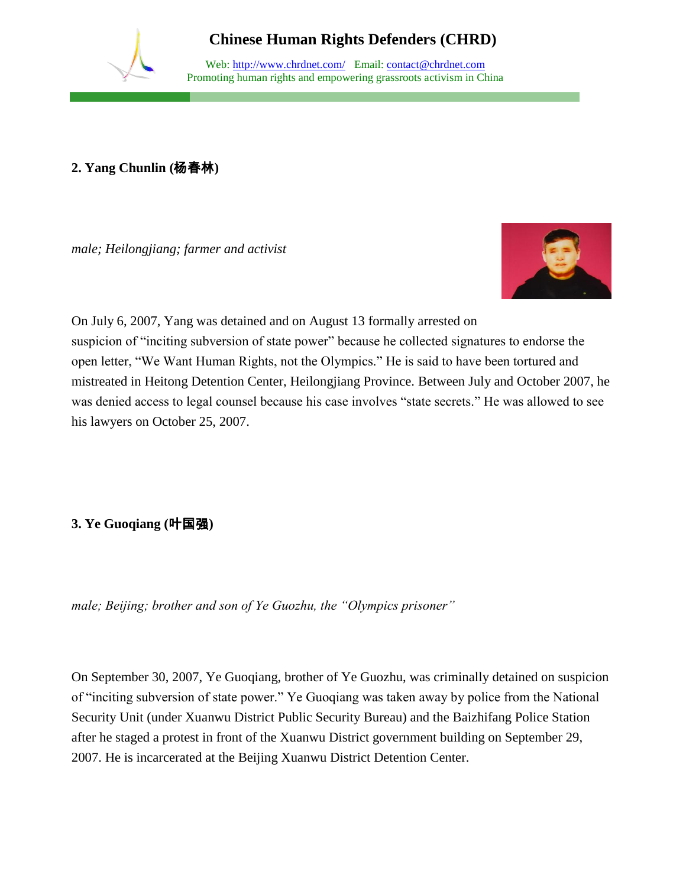

Web: http://www.chrdnet.com/ Email: contact@chrdnet.com Promoting human rights and empowering grassroots activism in China

#### **2. Yang Chunlin (**杨春林**)**

*male; Heilongjiang; farmer and activist*



On July 6, 2007, Yang was detained and on August 13 formally arrested on suspicion of "inciting subversion of state power" because he collected signatures to endorse the open letter, "We Want Human Rights, not the Olympics." He is said to have been tortured and mistreated in Heitong Detention Center, Heilongjiang Province. Between July and October 2007, he was denied access to legal counsel because his case involves "state secrets." He was allowed to see his lawyers on October 25, 2007.

## **3. Ye Guoqiang (**叶国强**)**

*male; Beijing; brother and son of Ye Guozhu, the "Olympics prisoner"*

On September 30, 2007, Ye Guoqiang, brother of Ye Guozhu, was criminally detained on suspicion of "inciting subversion of state power." Ye Guoqiang was taken away by police from the National Security Unit (under Xuanwu District Public Security Bureau) and the Baizhifang Police Station after he staged a protest in front of the Xuanwu District government building on September 29, 2007. He is incarcerated at the Beijing Xuanwu District Detention Center.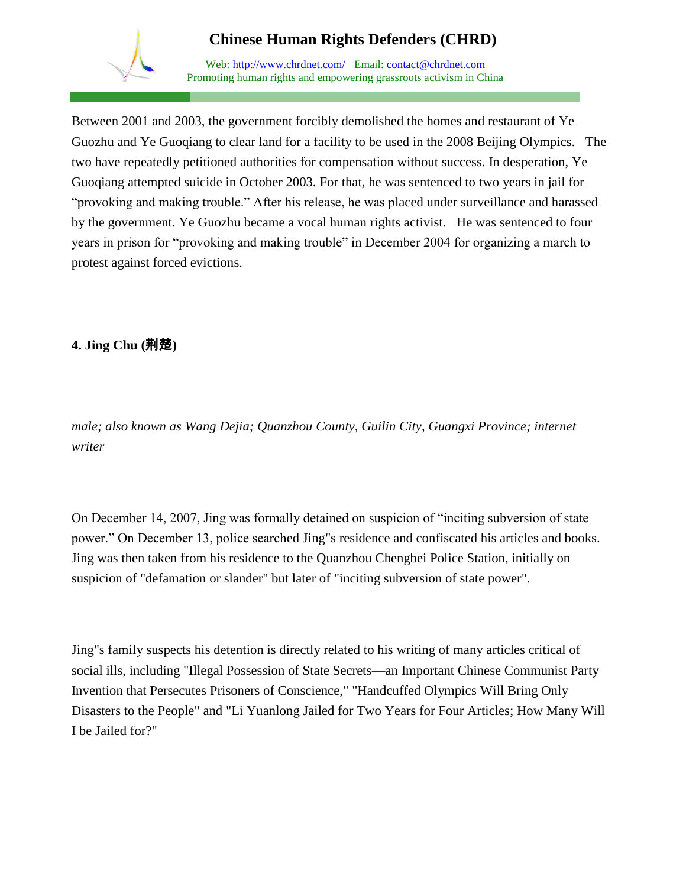

Web: http://www.chrdnet.com/ Email: contact@chrdnet.com Promoting human rights and empowering grassroots activism in China

Between 2001 and 2003, the government forcibly demolished the homes and restaurant of Ye Guozhu and Ye Guoqiang to clear land for a facility to be used in the 2008 Beijing Olympics. The two have repeatedly petitioned authorities for compensation without success. In desperation, Ye Guoqiang attempted suicide in October 2003. For that, he was sentenced to two years in jail for "provoking and making trouble." After his release, he was placed under surveillance and harassed by the government. Ye Guozhu became a vocal human rights activist. He was sentenced to four years in prison for "provoking and making trouble" in December 2004 for organizing a march to protest against forced evictions.

## **4. Jing Chu (**荆楚**)**

*male; also known as Wang Dejia; Quanzhou County, Guilin City, Guangxi Province; internet writer* 

On December 14, 2007, Jing was formally detained on suspicion of "inciting subversion of state power." On December 13, police searched Jing"s residence and confiscated his articles and books. Jing was then taken from his residence to the Quanzhou Chengbei Police Station, initially on suspicion of "defamation or slander" but later of "inciting subversion of state power".

Jing"s family suspects his detention is directly related to his writing of many articles critical of social ills, including "Illegal Possession of State Secrets—an Important Chinese Communist Party Invention that Persecutes Prisoners of Conscience," "Handcuffed Olympics Will Bring Only Disasters to the People" and "Li Yuanlong Jailed for Two Years for Four Articles; How Many Will I be Jailed for?"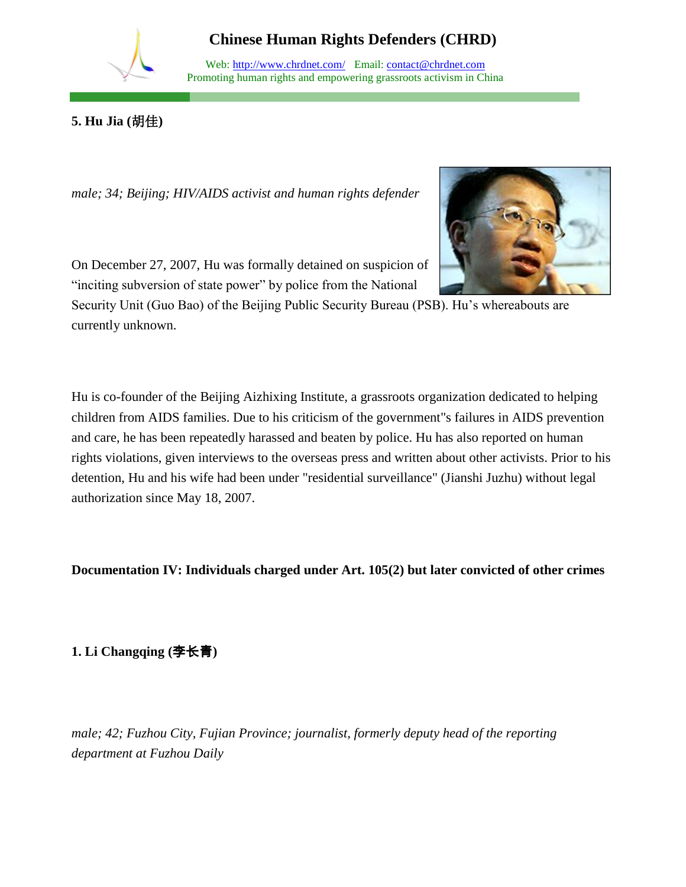

Web: http://www.chrdnet.com/ Email: contact@chrdnet.com Promoting human rights and empowering grassroots activism in China

**5. Hu Jia (**胡佳**)**

*male; 34; Beijing; HIV/AIDS activist and human rights defender*



On December 27, 2007, Hu was formally detained on suspicion of "inciting subversion of state power" by police from the National

Security Unit (Guo Bao) of the Beijing Public Security Bureau (PSB). Hu's whereabouts are currently unknown.

Hu is co-founder of the Beijing Aizhixing Institute, a grassroots organization dedicated to helping children from AIDS families. Due to his criticism of the government"s failures in AIDS prevention and care, he has been repeatedly harassed and beaten by police. Hu has also reported on human rights violations, given interviews to the overseas press and written about other activists. Prior to his detention, Hu and his wife had been under "residential surveillance" (Jianshi Juzhu) without legal authorization since May 18, 2007.

**Documentation IV: Individuals charged under Art. 105(2) but later convicted of other crimes**

# **1. Li Changqing (**李长青**)**

*male; 42; Fuzhou City, Fujian Province; journalist, formerly deputy head of the reporting department at Fuzhou Daily*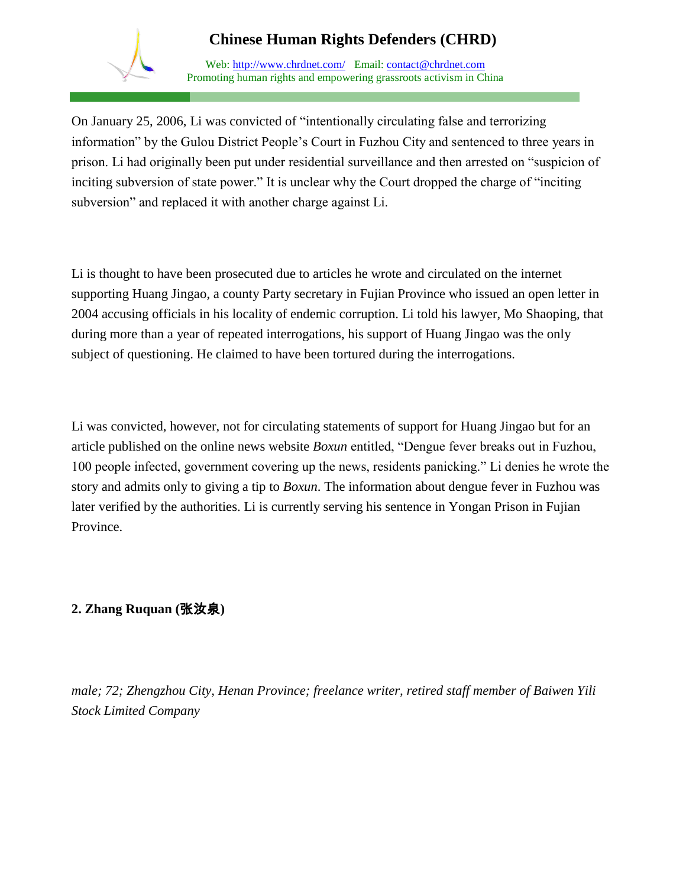

Web: http://www.chrdnet.com/ Email: contact@chrdnet.com Promoting human rights and empowering grassroots activism in China

On January 25, 2006, Li was convicted of "intentionally circulating false and terrorizing information" by the Gulou District People's Court in Fuzhou City and sentenced to three years in prison. Li had originally been put under residential surveillance and then arrested on "suspicion of inciting subversion of state power." It is unclear why the Court dropped the charge of "inciting subversion" and replaced it with another charge against Li.

Li is thought to have been prosecuted due to articles he wrote and circulated on the internet supporting Huang Jingao, a county Party secretary in Fujian Province who issued an open letter in 2004 accusing officials in his locality of endemic corruption. Li told his lawyer, Mo Shaoping, that during more than a year of repeated interrogations, his support of Huang Jingao was the only subject of questioning. He claimed to have been tortured during the interrogations.

Li was convicted, however, not for circulating statements of support for Huang Jingao but for an article published on the online news website *Boxun* entitled, "Dengue fever breaks out in Fuzhou, 100 people infected, government covering up the news, residents panicking." Li denies he wrote the story and admits only to giving a tip to *Boxun*. The information about dengue fever in Fuzhou was later verified by the authorities. Li is currently serving his sentence in Yongan Prison in Fujian Province.

## **2. Zhang Ruquan (**张汝泉**)**

*male; 72; Zhengzhou City, Henan Province; freelance writer, retired staff member of Baiwen Yili Stock Limited Company*